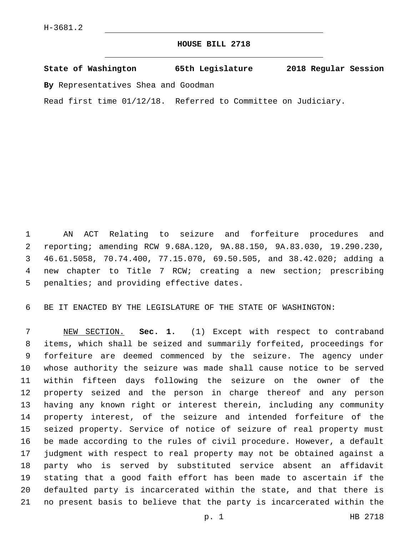## **HOUSE BILL 2718**

**State of Washington 65th Legislature 2018 Regular Session**

**By** Representatives Shea and Goodman

Read first time 01/12/18. Referred to Committee on Judiciary.

 AN ACT Relating to seizure and forfeiture procedures and reporting; amending RCW 9.68A.120, 9A.88.150, 9A.83.030, 19.290.230, 46.61.5058, 70.74.400, 77.15.070, 69.50.505, and 38.42.020; adding a new chapter to Title 7 RCW; creating a new section; prescribing 5 penalties; and providing effective dates.

BE IT ENACTED BY THE LEGISLATURE OF THE STATE OF WASHINGTON:

 NEW SECTION. **Sec. 1.** (1) Except with respect to contraband items, which shall be seized and summarily forfeited, proceedings for forfeiture are deemed commenced by the seizure. The agency under whose authority the seizure was made shall cause notice to be served within fifteen days following the seizure on the owner of the property seized and the person in charge thereof and any person having any known right or interest therein, including any community property interest, of the seizure and intended forfeiture of the seized property. Service of notice of seizure of real property must be made according to the rules of civil procedure. However, a default judgment with respect to real property may not be obtained against a party who is served by substituted service absent an affidavit stating that a good faith effort has been made to ascertain if the defaulted party is incarcerated within the state, and that there is no present basis to believe that the party is incarcerated within the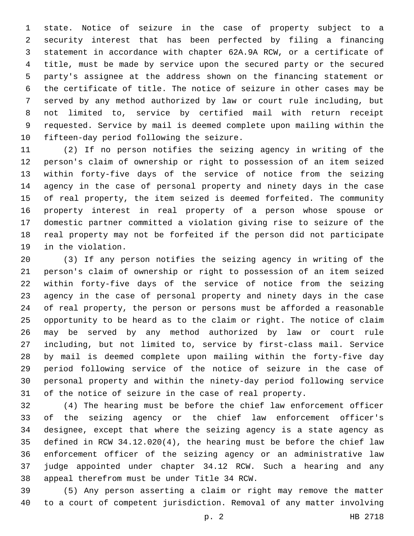state. Notice of seizure in the case of property subject to a security interest that has been perfected by filing a financing statement in accordance with chapter 62A.9A RCW, or a certificate of title, must be made by service upon the secured party or the secured party's assignee at the address shown on the financing statement or the certificate of title. The notice of seizure in other cases may be served by any method authorized by law or court rule including, but not limited to, service by certified mail with return receipt requested. Service by mail is deemed complete upon mailing within the 10 fifteen-day period following the seizure.

 (2) If no person notifies the seizing agency in writing of the person's claim of ownership or right to possession of an item seized within forty-five days of the service of notice from the seizing agency in the case of personal property and ninety days in the case of real property, the item seized is deemed forfeited. The community property interest in real property of a person whose spouse or domestic partner committed a violation giving rise to seizure of the real property may not be forfeited if the person did not participate 19 in the violation.

 (3) If any person notifies the seizing agency in writing of the person's claim of ownership or right to possession of an item seized within forty-five days of the service of notice from the seizing agency in the case of personal property and ninety days in the case of real property, the person or persons must be afforded a reasonable opportunity to be heard as to the claim or right. The notice of claim may be served by any method authorized by law or court rule including, but not limited to, service by first-class mail. Service by mail is deemed complete upon mailing within the forty-five day period following service of the notice of seizure in the case of personal property and within the ninety-day period following service of the notice of seizure in the case of real property.

 (4) The hearing must be before the chief law enforcement officer of the seizing agency or the chief law enforcement officer's designee, except that where the seizing agency is a state agency as defined in RCW 34.12.020(4), the hearing must be before the chief law enforcement officer of the seizing agency or an administrative law judge appointed under chapter 34.12 RCW. Such a hearing and any 38 appeal therefrom must be under Title 34 RCW.

 (5) Any person asserting a claim or right may remove the matter to a court of competent jurisdiction. Removal of any matter involving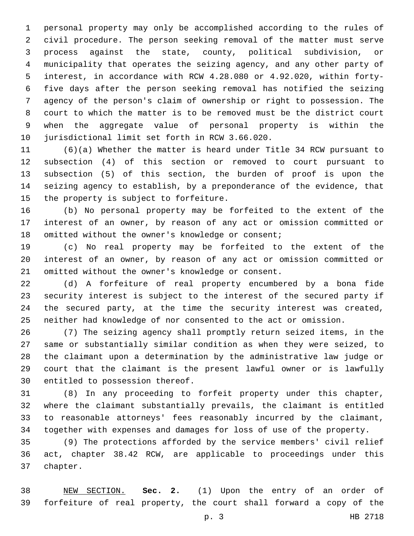personal property may only be accomplished according to the rules of civil procedure. The person seeking removal of the matter must serve process against the state, county, political subdivision, or municipality that operates the seizing agency, and any other party of interest, in accordance with RCW 4.28.080 or 4.92.020, within forty- five days after the person seeking removal has notified the seizing agency of the person's claim of ownership or right to possession. The court to which the matter is to be removed must be the district court when the aggregate value of personal property is within the 10 jurisdictional limit set forth in RCW 3.66.020.

 (6)(a) Whether the matter is heard under Title 34 RCW pursuant to subsection (4) of this section or removed to court pursuant to subsection (5) of this section, the burden of proof is upon the seizing agency to establish, by a preponderance of the evidence, that 15 the property is subject to forfeiture.

 (b) No personal property may be forfeited to the extent of the interest of an owner, by reason of any act or omission committed or 18 omitted without the owner's knowledge or consent;

 (c) No real property may be forfeited to the extent of the interest of an owner, by reason of any act or omission committed or 21 omitted without the owner's knowledge or consent.

 (d) A forfeiture of real property encumbered by a bona fide security interest is subject to the interest of the secured party if the secured party, at the time the security interest was created, neither had knowledge of nor consented to the act or omission.

 (7) The seizing agency shall promptly return seized items, in the same or substantially similar condition as when they were seized, to the claimant upon a determination by the administrative law judge or court that the claimant is the present lawful owner or is lawfully 30 entitled to possession thereof.

 (8) In any proceeding to forfeit property under this chapter, where the claimant substantially prevails, the claimant is entitled to reasonable attorneys' fees reasonably incurred by the claimant, together with expenses and damages for loss of use of the property.

 (9) The protections afforded by the service members' civil relief act, chapter 38.42 RCW, are applicable to proceedings under this 37 chapter.

 NEW SECTION. **Sec. 2.** (1) Upon the entry of an order of forfeiture of real property, the court shall forward a copy of the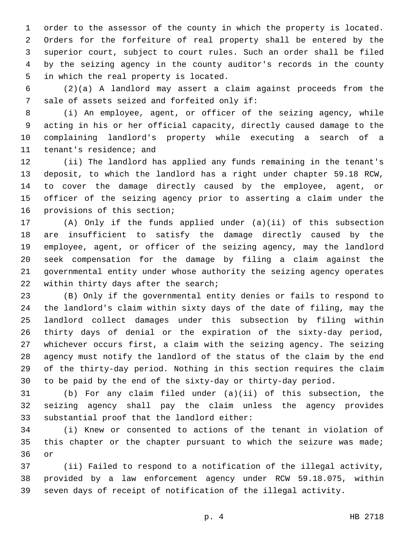order to the assessor of the county in which the property is located. Orders for the forfeiture of real property shall be entered by the superior court, subject to court rules. Such an order shall be filed by the seizing agency in the county auditor's records in the county 5 in which the real property is located.

 (2)(a) A landlord may assert a claim against proceeds from the 7 sale of assets seized and forfeited only if:

 (i) An employee, agent, or officer of the seizing agency, while acting in his or her official capacity, directly caused damage to the complaining landlord's property while executing a search of a 11 tenant's residence; and

 (ii) The landlord has applied any funds remaining in the tenant's deposit, to which the landlord has a right under chapter 59.18 RCW, to cover the damage directly caused by the employee, agent, or officer of the seizing agency prior to asserting a claim under the 16 provisions of this section;

 (A) Only if the funds applied under (a)(ii) of this subsection are insufficient to satisfy the damage directly caused by the employee, agent, or officer of the seizing agency, may the landlord seek compensation for the damage by filing a claim against the governmental entity under whose authority the seizing agency operates 22 within thirty days after the search;

 (B) Only if the governmental entity denies or fails to respond to the landlord's claim within sixty days of the date of filing, may the landlord collect damages under this subsection by filing within thirty days of denial or the expiration of the sixty-day period, whichever occurs first, a claim with the seizing agency. The seizing agency must notify the landlord of the status of the claim by the end of the thirty-day period. Nothing in this section requires the claim to be paid by the end of the sixty-day or thirty-day period.

 (b) For any claim filed under (a)(ii) of this subsection, the seizing agency shall pay the claim unless the agency provides 33 substantial proof that the landlord either:

 (i) Knew or consented to actions of the tenant in violation of 35 this chapter or the chapter pursuant to which the seizure was made; 36 or

 (ii) Failed to respond to a notification of the illegal activity, provided by a law enforcement agency under RCW 59.18.075, within seven days of receipt of notification of the illegal activity.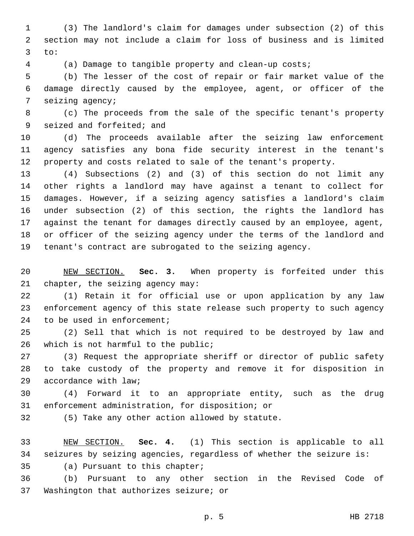(3) The landlord's claim for damages under subsection (2) of this section may not include a claim for loss of business and is limited to:

(a) Damage to tangible property and clean-up costs;

 (b) The lesser of the cost of repair or fair market value of the damage directly caused by the employee, agent, or officer of the 7 seizing agency;

 (c) The proceeds from the sale of the specific tenant's property 9 seized and forfeited; and

 (d) The proceeds available after the seizing law enforcement agency satisfies any bona fide security interest in the tenant's property and costs related to sale of the tenant's property.

 (4) Subsections (2) and (3) of this section do not limit any other rights a landlord may have against a tenant to collect for damages. However, if a seizing agency satisfies a landlord's claim under subsection (2) of this section, the rights the landlord has against the tenant for damages directly caused by an employee, agent, or officer of the seizing agency under the terms of the landlord and tenant's contract are subrogated to the seizing agency.

 NEW SECTION. **Sec. 3.** When property is forfeited under this chapter, the seizing agency may:

 (1) Retain it for official use or upon application by any law enforcement agency of this state release such property to such agency 24 to be used in enforcement;

 (2) Sell that which is not required to be destroyed by law and 26 which is not harmful to the public;

 (3) Request the appropriate sheriff or director of public safety to take custody of the property and remove it for disposition in 29 accordance with law;

 (4) Forward it to an appropriate entity, such as the drug 31 enforcement administration, for disposition; or

32 (5) Take any other action allowed by statute.

 NEW SECTION. **Sec. 4.** (1) This section is applicable to all seizures by seizing agencies, regardless of whether the seizure is:

35 (a) Pursuant to this chapter;

 (b) Pursuant to any other section in the Revised Code of 37 Washington that authorizes seizure; or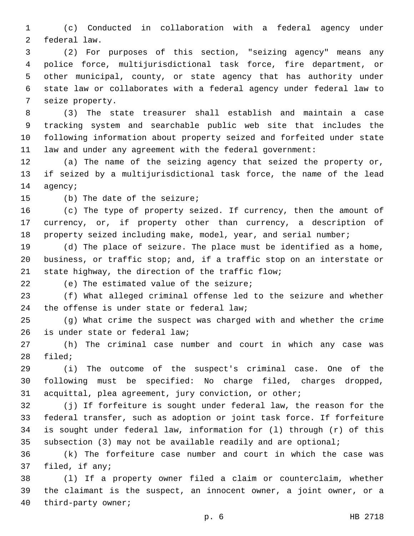(c) Conducted in collaboration with a federal agency under 2 federal law.

 (2) For purposes of this section, "seizing agency" means any police force, multijurisdictional task force, fire department, or other municipal, county, or state agency that has authority under state law or collaborates with a federal agency under federal law to 7 seize property.

 (3) The state treasurer shall establish and maintain a case tracking system and searchable public web site that includes the following information about property seized and forfeited under state law and under any agreement with the federal government:

 (a) The name of the seizing agency that seized the property or, if seized by a multijurisdictional task force, the name of the lead 14 agency;

15 (b) The date of the seizure;

 (c) The type of property seized. If currency, then the amount of currency, or, if property other than currency, a description of 18 property seized including make, model, year, and serial number;

 (d) The place of seizure. The place must be identified as a home, business, or traffic stop; and, if a traffic stop on an interstate or 21 state highway, the direction of the traffic flow;

22 (e) The estimated value of the seizure;

 (f) What alleged criminal offense led to the seizure and whether 24 the offense is under state or federal law;

 (g) What crime the suspect was charged with and whether the crime 26 is under state or federal law;

 (h) The criminal case number and court in which any case was 28 filed;

 (i) The outcome of the suspect's criminal case. One of the following must be specified: No charge filed, charges dropped, acquittal, plea agreement, jury conviction, or other;

 (j) If forfeiture is sought under federal law, the reason for the federal transfer, such as adoption or joint task force. If forfeiture is sought under federal law, information for (l) through (r) of this subsection (3) may not be available readily and are optional;

 (k) The forfeiture case number and court in which the case was 37 filed, if any;

 (l) If a property owner filed a claim or counterclaim, whether the claimant is the suspect, an innocent owner, a joint owner, or a 40 third-party owner;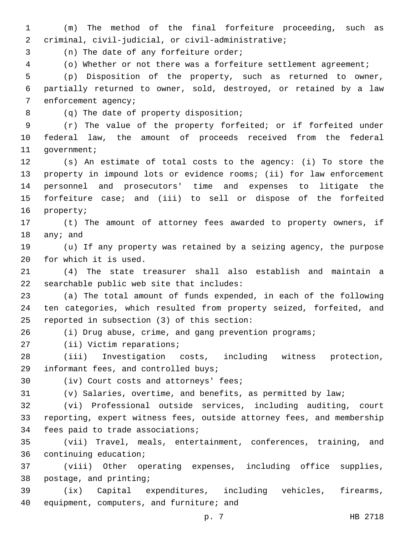1 (m) The method of the final forfeiture proceeding, such as criminal, civil-judicial, or civil-administrative;2 3 (n) The date of any forfeiture order; 4 (o) Whether or not there was a forfeiture settlement agreement;

5 (p) Disposition of the property, such as returned to owner, 6 partially returned to owner, sold, destroyed, or retained by a law 7 enforcement agency;

(q) The date of property disposition;8

9 (r) The value of the property forfeited; or if forfeited under 10 federal law, the amount of proceeds received from the federal 11 government;

 (s) An estimate of total costs to the agency: (i) To store the property in impound lots or evidence rooms; (ii) for law enforcement personnel and prosecutors' time and expenses to litigate the forfeiture case; and (iii) to sell or dispose of the forfeited 16 property;

17 (t) The amount of attorney fees awarded to property owners, if 18 any; and

19 (u) If any property was retained by a seizing agency, the purpose 20 for which it is used.

21 (4) The state treasurer shall also establish and maintain a  $22$  searchable public web site that includes:

23 (a) The total amount of funds expended, in each of the following 24 ten categories, which resulted from property seized, forfeited, and 25 reported in subsection (3) of this section:

26 (i) Drug abuse, crime, and gang prevention programs;

27 (ii) Victim reparations;

28 (iii) Investigation costs, including witness protection, 29 informant fees, and controlled buys;

30 (iv) Court costs and attorneys' fees;

31 (v) Salaries, overtime, and benefits, as permitted by law;

32 (vi) Professional outside services, including auditing, court 33 reporting, expert witness fees, outside attorney fees, and membership 34 fees paid to trade associations;

35 (vii) Travel, meals, entertainment, conferences, training, and 36 continuing education;

37 (viii) Other operating expenses, including office supplies, 38 postage, and printing;

39 (ix) Capital expenditures, including vehicles, firearms, 40 equipment, computers, and furniture; and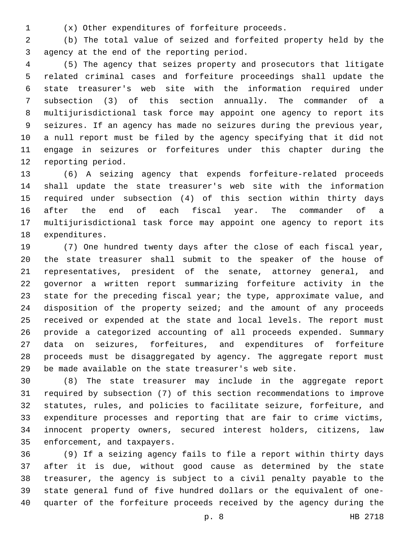(x) Other expenditures of forfeiture proceeds.1

 (b) The total value of seized and forfeited property held by the 3 agency at the end of the reporting period.

 (5) The agency that seizes property and prosecutors that litigate related criminal cases and forfeiture proceedings shall update the state treasurer's web site with the information required under subsection (3) of this section annually. The commander of a multijurisdictional task force may appoint one agency to report its seizures. If an agency has made no seizures during the previous year, a null report must be filed by the agency specifying that it did not engage in seizures or forfeitures under this chapter during the 12 reporting period.

 (6) A seizing agency that expends forfeiture-related proceeds shall update the state treasurer's web site with the information required under subsection (4) of this section within thirty days after the end of each fiscal year. The commander of a multijurisdictional task force may appoint one agency to report its 18 expenditures.

 (7) One hundred twenty days after the close of each fiscal year, the state treasurer shall submit to the speaker of the house of representatives, president of the senate, attorney general, and governor a written report summarizing forfeiture activity in the state for the preceding fiscal year; the type, approximate value, and disposition of the property seized; and the amount of any proceeds received or expended at the state and local levels. The report must provide a categorized accounting of all proceeds expended. Summary data on seizures, forfeitures, and expenditures of forfeiture proceeds must be disaggregated by agency. The aggregate report must be made available on the state treasurer's web site.

 (8) The state treasurer may include in the aggregate report required by subsection (7) of this section recommendations to improve statutes, rules, and policies to facilitate seizure, forfeiture, and expenditure processes and reporting that are fair to crime victims, innocent property owners, secured interest holders, citizens, law 35 enforcement, and taxpayers.

 (9) If a seizing agency fails to file a report within thirty days after it is due, without good cause as determined by the state treasurer, the agency is subject to a civil penalty payable to the state general fund of five hundred dollars or the equivalent of one-quarter of the forfeiture proceeds received by the agency during the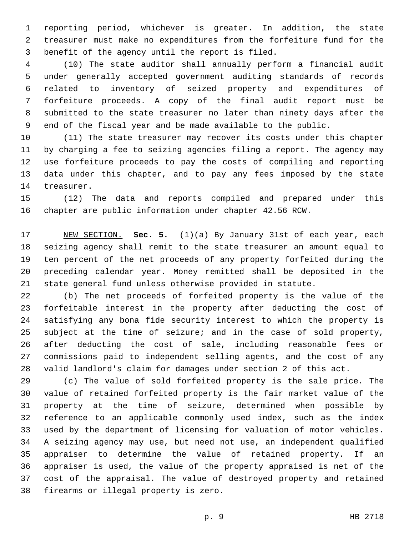reporting period, whichever is greater. In addition, the state treasurer must make no expenditures from the forfeiture fund for the 3 benefit of the agency until the report is filed.

 (10) The state auditor shall annually perform a financial audit under generally accepted government auditing standards of records related to inventory of seized property and expenditures of forfeiture proceeds. A copy of the final audit report must be submitted to the state treasurer no later than ninety days after the end of the fiscal year and be made available to the public.

 (11) The state treasurer may recover its costs under this chapter by charging a fee to seizing agencies filing a report. The agency may use forfeiture proceeds to pay the costs of compiling and reporting data under this chapter, and to pay any fees imposed by the state 14 treasurer.

 (12) The data and reports compiled and prepared under this chapter are public information under chapter 42.56 RCW.

 NEW SECTION. **Sec. 5.** (1)(a) By January 31st of each year, each seizing agency shall remit to the state treasurer an amount equal to ten percent of the net proceeds of any property forfeited during the preceding calendar year. Money remitted shall be deposited in the state general fund unless otherwise provided in statute.

 (b) The net proceeds of forfeited property is the value of the forfeitable interest in the property after deducting the cost of satisfying any bona fide security interest to which the property is subject at the time of seizure; and in the case of sold property, after deducting the cost of sale, including reasonable fees or commissions paid to independent selling agents, and the cost of any valid landlord's claim for damages under section 2 of this act.

 (c) The value of sold forfeited property is the sale price. The value of retained forfeited property is the fair market value of the property at the time of seizure, determined when possible by reference to an applicable commonly used index, such as the index used by the department of licensing for valuation of motor vehicles. A seizing agency may use, but need not use, an independent qualified appraiser to determine the value of retained property. If an appraiser is used, the value of the property appraised is net of the cost of the appraisal. The value of destroyed property and retained 38 firearms or illegal property is zero.

p. 9 HB 2718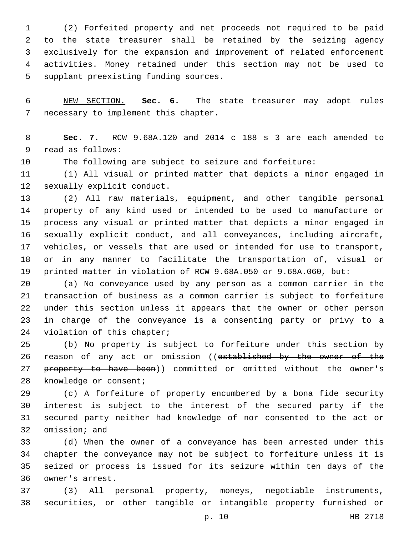(2) Forfeited property and net proceeds not required to be paid to the state treasurer shall be retained by the seizing agency exclusively for the expansion and improvement of related enforcement activities. Money retained under this section may not be used to 5 supplant preexisting funding sources.

 NEW SECTION. **Sec. 6.** The state treasurer may adopt rules necessary to implement this chapter.

 **Sec. 7.** RCW 9.68A.120 and 2014 c 188 s 3 are each amended to 9 read as follows:

The following are subject to seizure and forfeiture:

 (1) All visual or printed matter that depicts a minor engaged in 12 sexually explicit conduct.

 (2) All raw materials, equipment, and other tangible personal property of any kind used or intended to be used to manufacture or process any visual or printed matter that depicts a minor engaged in sexually explicit conduct, and all conveyances, including aircraft, vehicles, or vessels that are used or intended for use to transport, or in any manner to facilitate the transportation of, visual or printed matter in violation of RCW 9.68A.050 or 9.68A.060, but:

 (a) No conveyance used by any person as a common carrier in the transaction of business as a common carrier is subject to forfeiture under this section unless it appears that the owner or other person in charge of the conveyance is a consenting party or privy to a 24 violation of this chapter;

 (b) No property is subject to forfeiture under this section by 26 reason of any act or omission ((established by the owner of the 27 property to have been)) committed or omitted without the owner's 28 knowledge or consent;

 (c) A forfeiture of property encumbered by a bona fide security interest is subject to the interest of the secured party if the secured party neither had knowledge of nor consented to the act or 32 omission; and

 (d) When the owner of a conveyance has been arrested under this chapter the conveyance may not be subject to forfeiture unless it is seized or process is issued for its seizure within ten days of the 36 owner's arrest.

 (3) All personal property, moneys, negotiable instruments, securities, or other tangible or intangible property furnished or

p. 10 HB 2718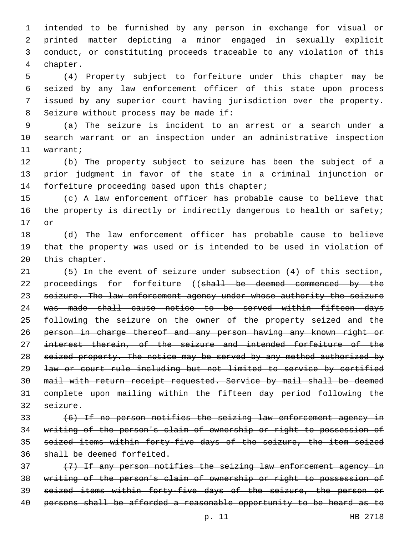intended to be furnished by any person in exchange for visual or printed matter depicting a minor engaged in sexually explicit conduct, or constituting proceeds traceable to any violation of this 4 chapter.

 (4) Property subject to forfeiture under this chapter may be seized by any law enforcement officer of this state upon process issued by any superior court having jurisdiction over the property. 8 Seizure without process may be made if:

 (a) The seizure is incident to an arrest or a search under a search warrant or an inspection under an administrative inspection 11 warrant;

 (b) The property subject to seizure has been the subject of a prior judgment in favor of the state in a criminal injunction or 14 forfeiture proceeding based upon this chapter;

 (c) A law enforcement officer has probable cause to believe that 16 the property is directly or indirectly dangerous to health or safety; 17 or

 (d) The law enforcement officer has probable cause to believe that the property was used or is intended to be used in violation of 20 this chapter.

 (5) In the event of seizure under subsection (4) of this section, 22 proceedings for forfeiture ((shall be deemed commenced by the 23 seizure. The law enforcement agency under whose authority the seizure was made shall cause notice to be served within fifteen days following the seizure on the owner of the property seized and the person in charge thereof and any person having any known right or interest therein, of the seizure and intended forfeiture of the 28 seized property. The notice may be served by any method authorized by law or court rule including but not limited to service by certified mail with return receipt requested. Service by mail shall be deemed complete upon mailing within the fifteen day period following the seizure.

 (6) If no person notifies the seizing law enforcement agency in writing of the person's claim of ownership or right to possession of seized items within forty-five days of the seizure, the item seized shall be deemed forfeited.

 (7) If any person notifies the seizing law enforcement agency in writing of the person's claim of ownership or right to possession of seized items within forty-five days of the seizure, the person or 40 persons shall be afforded a reasonable opportunity to be heard as to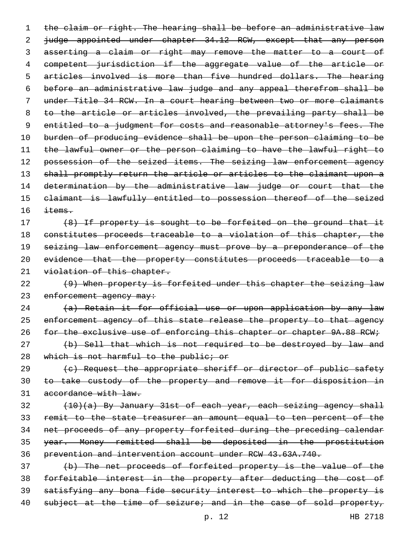1 the claim or right. The hearing shall be before an administrative law 2 judge appointed under chapter 34.12 RCW, except that any person asserting a claim or right may remove the matter to a court of competent jurisdiction if the aggregate value of the article or articles involved is more than five hundred dollars. The hearing before an administrative law judge and any appeal therefrom shall be under Title 34 RCW. In a court hearing between two or more claimants to the article or articles involved, the prevailing party shall be 9 entitled to a judgment for costs and reasonable attorney's fees. The burden of producing evidence shall be upon the person claiming to be the lawful owner or the person claiming to have the lawful right to 12 possession of the seized items. The seizing law enforcement agency 13 shall promptly return the article or articles to the claimant upon a determination by the administrative law judge or court that the claimant is lawfully entitled to possession thereof of the seized  $\pm$  tems.

17 (8) If property is sought to be forfeited on the ground that it constitutes proceeds traceable to a violation of this chapter, the 19 seizing law enforcement agency must prove by a preponderance of the evidence that the property constitutes proceeds traceable to a 21 violation of this chapter.

 (9) When property is forfeited under this chapter the seizing law 23 enforcement agency may:

 (a) Retain it for official use or upon application by any law 25 enforcement agency of this state release the property to that agency 26 for the exclusive use of enforcing this chapter or chapter 9A.88 RCW;

 (b) Sell that which is not required to be destroyed by law and 28 which is not harmful to the public; or

29 (c) Request the appropriate sheriff or director of public safety to take custody of the property and remove it for disposition in accordance with law.

 (10)(a) By January 31st of each year, each seizing agency shall remit to the state treasurer an amount equal to ten percent of the net proceeds of any property forfeited during the preceding calendar year. Money remitted shall be deposited in the prostitution prevention and intervention account under RCW 43.63A.740.

 (b) The net proceeds of forfeited property is the value of the forfeitable interest in the property after deducting the cost of satisfying any bona fide security interest to which the property is 40 subject at the time of seizure; and in the case of sold property,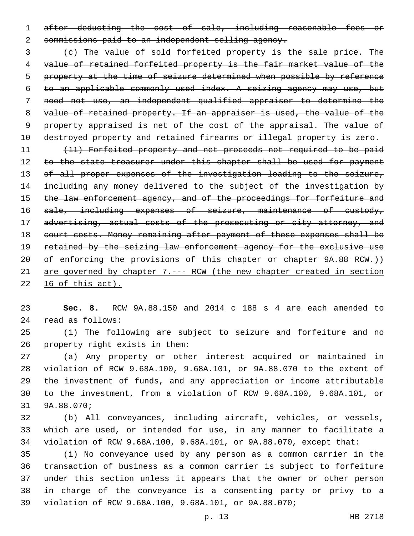after deducting the cost of sale, including reasonable fees or 2 commissions paid to an independent selling agency.

 (c) The value of sold forfeited property is the sale price. The value of retained forfeited property is the fair market value of the property at the time of seizure determined when possible by reference to an applicable commonly used index. A seizing agency may use, but need not use, an independent qualified appraiser to determine the value of retained property. If an appraiser is used, the value of the property appraised is net of the cost of the appraisal. The value of 10 destroyed property and retained firearms or illegal property is zero.

 (11) Forfeited property and net proceeds not required to be paid 12 to the state treasurer under this chapter shall be used for payment of all proper expenses of the investigation leading to the seizure, including any money delivered to the subject of the investigation by 15 the law enforcement agency, and of the proceedings for forfeiture and 16 sale, including expenses of seizure, maintenance of custody, 17 advertising, actual costs of the prosecuting or city attorney, and 18 court costs. Money remaining after payment of these expenses shall be retained by the seizing law enforcement agency for the exclusive use 20 of enforcing the provisions of this chapter or chapter 9A.88 RCW.)) are governed by chapter 7.--- RCW (the new chapter created in section 16 of this act).

 **Sec. 8.** RCW 9A.88.150 and 2014 c 188 s 4 are each amended to 24 read as follows:

 (1) The following are subject to seizure and forfeiture and no 26 property right exists in them:

 (a) Any property or other interest acquired or maintained in violation of RCW 9.68A.100, 9.68A.101, or 9A.88.070 to the extent of the investment of funds, and any appreciation or income attributable to the investment, from a violation of RCW 9.68A.100, 9.68A.101, or 31 9A.88.070;

 (b) All conveyances, including aircraft, vehicles, or vessels, which are used, or intended for use, in any manner to facilitate a violation of RCW 9.68A.100, 9.68A.101, or 9A.88.070, except that:

 (i) No conveyance used by any person as a common carrier in the transaction of business as a common carrier is subject to forfeiture under this section unless it appears that the owner or other person in charge of the conveyance is a consenting party or privy to a violation of RCW 9.68A.100, 9.68A.101, or 9A.88.070;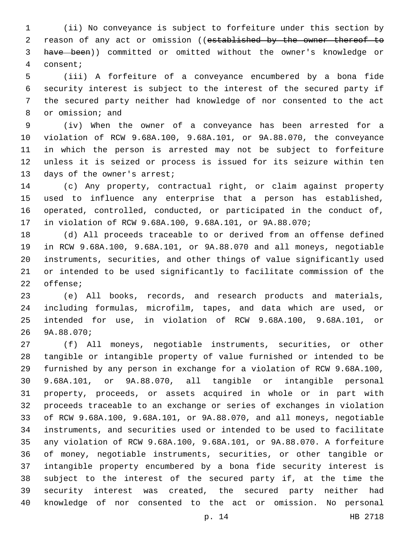(ii) No conveyance is subject to forfeiture under this section by 2 reason of any act or omission ((established by the owner thereof to have been)) committed or omitted without the owner's knowledge or consent;4

 (iii) A forfeiture of a conveyance encumbered by a bona fide security interest is subject to the interest of the secured party if the secured party neither had knowledge of nor consented to the act 8 or omission; and

 (iv) When the owner of a conveyance has been arrested for a violation of RCW 9.68A.100, 9.68A.101, or 9A.88.070, the conveyance in which the person is arrested may not be subject to forfeiture unless it is seized or process is issued for its seizure within ten 13 days of the owner's arrest;

 (c) Any property, contractual right, or claim against property used to influence any enterprise that a person has established, operated, controlled, conducted, or participated in the conduct of, in violation of RCW 9.68A.100, 9.68A.101, or 9A.88.070;

 (d) All proceeds traceable to or derived from an offense defined in RCW 9.68A.100, 9.68A.101, or 9A.88.070 and all moneys, negotiable instruments, securities, and other things of value significantly used or intended to be used significantly to facilitate commission of the 22 offense;

 (e) All books, records, and research products and materials, including formulas, microfilm, tapes, and data which are used, or intended for use, in violation of RCW 9.68A.100, 9.68A.101, or 26 9A.88.070;

 (f) All moneys, negotiable instruments, securities, or other tangible or intangible property of value furnished or intended to be furnished by any person in exchange for a violation of RCW 9.68A.100, 9.68A.101, or 9A.88.070, all tangible or intangible personal property, proceeds, or assets acquired in whole or in part with proceeds traceable to an exchange or series of exchanges in violation of RCW 9.68A.100, 9.68A.101, or 9A.88.070, and all moneys, negotiable instruments, and securities used or intended to be used to facilitate any violation of RCW 9.68A.100, 9.68A.101, or 9A.88.070. A forfeiture of money, negotiable instruments, securities, or other tangible or intangible property encumbered by a bona fide security interest is subject to the interest of the secured party if, at the time the security interest was created, the secured party neither had knowledge of nor consented to the act or omission. No personal

p. 14 HB 2718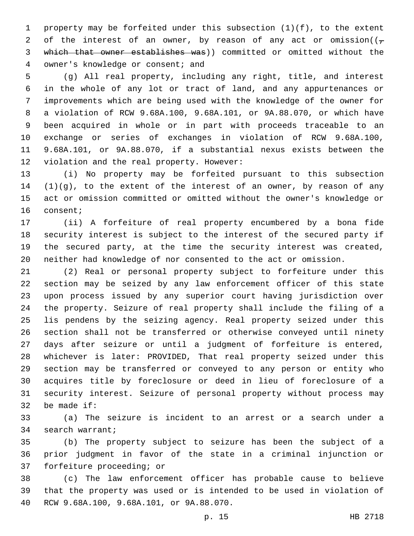property may be forfeited under this subsection (1)(f), to the extent 2 of the interest of an owner, by reason of any act or omission( $(\tau$  which that owner establishes was)) committed or omitted without the 4 owner's knowledge or consent; and

 (g) All real property, including any right, title, and interest in the whole of any lot or tract of land, and any appurtenances or improvements which are being used with the knowledge of the owner for a violation of RCW 9.68A.100, 9.68A.101, or 9A.88.070, or which have been acquired in whole or in part with proceeds traceable to an exchange or series of exchanges in violation of RCW 9.68A.100, 9.68A.101, or 9A.88.070, if a substantial nexus exists between the 12 violation and the real property. However:

 (i) No property may be forfeited pursuant to this subsection (1)(g), to the extent of the interest of an owner, by reason of any act or omission committed or omitted without the owner's knowledge or 16 consent;

 (ii) A forfeiture of real property encumbered by a bona fide security interest is subject to the interest of the secured party if the secured party, at the time the security interest was created, neither had knowledge of nor consented to the act or omission.

 (2) Real or personal property subject to forfeiture under this section may be seized by any law enforcement officer of this state upon process issued by any superior court having jurisdiction over the property. Seizure of real property shall include the filing of a lis pendens by the seizing agency. Real property seized under this section shall not be transferred or otherwise conveyed until ninety days after seizure or until a judgment of forfeiture is entered, whichever is later: PROVIDED, That real property seized under this section may be transferred or conveyed to any person or entity who acquires title by foreclosure or deed in lieu of foreclosure of a security interest. Seizure of personal property without process may 32 be made if:

 (a) The seizure is incident to an arrest or a search under a 34 search warrant;

 (b) The property subject to seizure has been the subject of a prior judgment in favor of the state in a criminal injunction or 37 forfeiture proceeding; or

 (c) The law enforcement officer has probable cause to believe that the property was used or is intended to be used in violation of RCW 9.68A.100, 9.68A.101, or 9A.88.070.40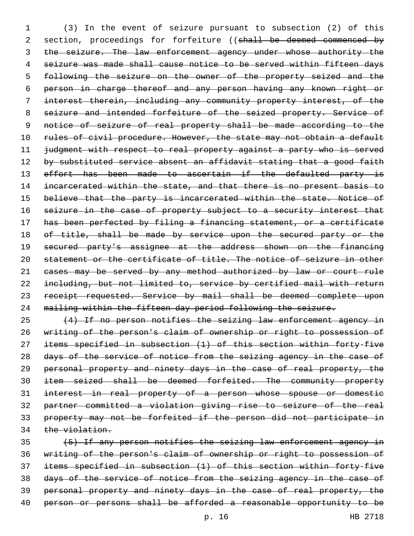(3) In the event of seizure pursuant to subsection (2) of this 2 section, proceedings for forfeiture ((shall be deemed commenced by 3 the seizure. The law enforcement agency under whose authority the seizure was made shall cause notice to be served within fifteen days following the seizure on the owner of the property seized and the person in charge thereof and any person having any known right or interest therein, including any community property interest, of the seizure and intended forfeiture of the seized property. Service of 9 notice of seizure of real property shall be made according to the 10 rules of civil procedure. However, the state may not obtain a default judgment with respect to real property against a party who is served 12 by substituted service absent an affidavit stating that a good faith 13 effort has been made to ascertain if the defaulted party is 14 incarcerated within the state, and that there is no present basis to believe that the party is incarcerated within the state. Notice of 16 seizure in the case of property subject to a security interest that has been perfected by filing a financing statement, or a certificate 18 of title, shall be made by service upon the secured party or the 19 secured party's assignee at the address shown on the financing statement or the certificate of title. The notice of seizure in other 21 eases may be served by any method authorized by law or court rule including, but not limited to, service by certified mail with return 23 receipt requested. Service by mail shall be deemed complete upon mailing within the fifteen day period following the seizure.

 (4) If no person notifies the seizing law enforcement agency in writing of the person's claim of ownership or right to possession of items specified in subsection (1) of this section within forty-five 28 days of the service of notice from the seizing agency in the case of personal property and ninety days in the case of real property, the item seized shall be deemed forfeited. The community property interest in real property of a person whose spouse or domestic partner committed a violation giving rise to seizure of the real property may not be forfeited if the person did not participate in 34 the violation.

 (5) If any person notifies the seizing law enforcement agency in writing of the person's claim of ownership or right to possession of items specified in subsection (1) of this section within forty-five days of the service of notice from the seizing agency in the case of personal property and ninety days in the case of real property, the 40 person or persons shall be afforded a reasonable opportunity to be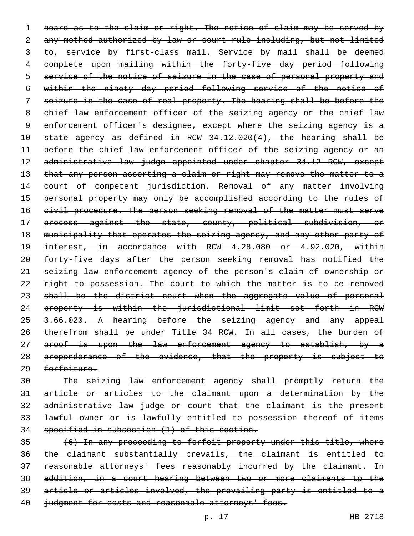1 heard as to the claim or right. The notice of claim may be served by 2 any method authorized by law or court rule including, but not limited 3 to, service by first-class mail. Service by mail shall be deemed 4 complete upon mailing within the forty-five day period following 5 service of the notice of seizure in the case of personal property and 6 within the ninety day period following service of the notice of 7 seizure in the case of real property. The hearing shall be before the 8 chief law enforcement officer of the seizing agency or the chief law 9 enforcement officer's designee, except where the seizing agency is a 10 state agency as defined in RCW 34.12.020(4), the hearing shall be 11 before the chief law enforcement officer of the seizing agency or an 12 administrative law judge appointed under chapter 34.12 RCW, except 13 that any person asserting a claim or right may remove the matter to a 14 court of competent jurisdiction. Removal of any matter involving 15 personal property may only be accomplished according to the rules of 16 civil procedure. The person seeking removal of the matter must serve 17 process against the state, county, political subdivision, or 18 municipality that operates the seizing agency, and any other party of 19 interest, in accordance with RCW 4.28.080 or 4.92.020, within 20 forty-five days after the person seeking removal has notified the 21 seizing law enforcement agency of the person's claim of ownership or 22 right to possession. The court to which the matter is to be removed 23 shall be the district court when the aggregate value of personal 24 property is within the jurisdictional limit set forth in RCW 25 3.66.020. A hearing before the seizing agency and any appeal 26 therefrom shall be under Title 34 RCW. In all cases, the burden of 27 proof is upon the law enforcement agency to establish, by a 28 preponderance of the evidence, that the property is subject to 29 forfeiture.

 The seizing law enforcement agency shall promptly return the article or articles to the claimant upon a determination by the administrative law judge or court that the claimant is the present lawful owner or is lawfully entitled to possession thereof of items specified in subsection (1) of this section.

 (6) In any proceeding to forfeit property under this title, where the claimant substantially prevails, the claimant is entitled to 37 reasonable attorneys' fees reasonably incurred by the claimant. In addition, in a court hearing between two or more claimants to the article or articles involved, the prevailing party is entitled to a 40 judgment for costs and reasonable attorneys' fees.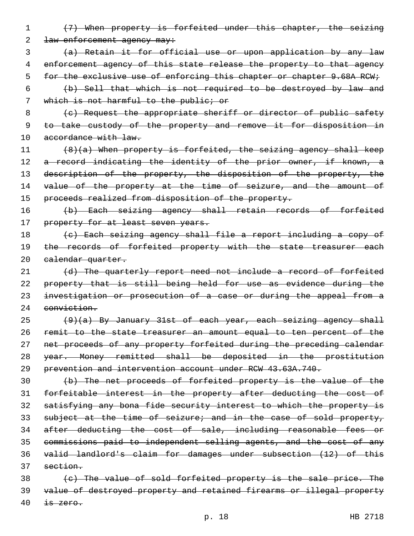- 1 (7) When property is forfeited under this chapter, the seizing 2 <del>law enforcement agency may:</del>
- 3 (a) Retain it for official use or upon application by any law 4 enforcement agency of this state release the property to that agency 5 for the exclusive use of enforcing this chapter or chapter 9.68A RCW;
- 6 (b) Sell that which is not required to be destroyed by law and 7 which is not harmful to the public; or
- 8 (e) Request the appropriate sheriff or director of public safety 9 to take custody of the property and remove it for disposition in 10 accordance with law.
- 11  $(8)(a)$  When property is forfeited, the seizing agency shall keep 12 a record indicating the identity of the prior owner, if known, a 13 description of the property, the disposition of the property, the 14 value of the property at the time of seizure, and the amount of 15 proceeds realized from disposition of the property.
- 16 (b) Each seizing agency shall retain records of forfeited 17 property for at least seven years.
- 18 (c) Each seizing agency shall file a report including a copy of 19 the records of forfeited property with the state treasurer each 20 calendar quarter.
- 21 (d) The quarterly report need not include a record of forfeited 22 property that is still being held for use as evidence during the 23 investigation or prosecution of a case or during the appeal from a 24 conviction.
- $(9)(a)$  By January 31st of each year, each seizing agency shall 26 remit to the state treasurer an amount equal to ten percent of the 27 net proceeds of any property forfeited during the preceding calendar 28 year. Money remitted shall be deposited in the prostitution 29 prevention and intervention account under RCW 43.63A.740.
- 30 (b) The net proceeds of forfeited property is the value of the 31 forfeitable interest in the property after deducting the cost of 32 satisfying any bona fide security interest to which the property is 33 subject at the time of seizure; and in the case of sold property, 34 after deducting the cost of sale, including reasonable fees or 35 commissions paid to independent selling agents, and the cost of any 36 valid landlord's claim for damages under subsection (12) of this 37 section.
- 38 (c) The value of sold forfeited property is the sale price. The 39 value of destroyed property and retained firearms or illegal property  $40$  is zero.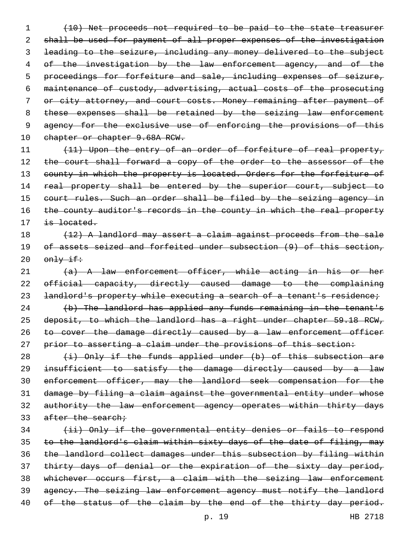1 (10) Net proceeds not required to be paid to the state treasurer 2 shall be used for payment of all proper expenses of the investigation 3 leading to the seizure, including any money delivered to the subject 4 of the investigation by the law enforcement agency, and of the 5 proceedings for forfeiture and sale, including expenses of seizure, 6 maintenance of custody, advertising, actual costs of the prosecuting 7 or city attorney, and court costs. Money remaining after payment of 8 these expenses shall be retained by the seizing law enforcement 9 agency for the exclusive use of enforcing the provisions of this 10 chapter or chapter 9.68A RCW.

11 (11) Upon the entry of an order of forfeiture of real property, 12 the court shall forward a copy of the order to the assessor of the 13 county in which the property is located. Orders for the forfeiture of 14 real property shall be entered by the superior court, subject to 15 court rules. Such an order shall be filed by the seizing agency in 16 the county auditor's records in the county in which the real property 17 is located.

## 18 (12) A landlord may assert a claim against proceeds from the sale 19 of assets seized and forfeited under subsection (9) of this section,  $20$   $\theta$ mly if:

21 (a) A law enforcement officer, while acting in his or her 22 official capacity, directly caused damage to the complaining 23 landlord's property while executing a search of a tenant's residence; 24 (b) The landlord has applied any funds remaining in the tenant's 25 deposit, to which the landlord has a right under chapter 59.18 RCW, 26 to cover the damage directly caused by a law enforcement officer

27 prior to asserting a claim under the provisions of this section:

 $(i)$  Only if the funds applied under (b) of this subsection are insufficient to satisfy the damage directly caused by a law enforcement officer, may the landlord seek compensation for the damage by filing a claim against the governmental entity under whose 32 authority the law enforcement agency operates within thirty days 33 after the search;

 (ii) Only if the governmental entity denies or fails to respond to the landlord's claim within sixty days of the date of filing, may the landlord collect damages under this subsection by filing within 37 thirty days of denial or the expiration of the sixty day period, whichever occurs first, a claim with the seizing law enforcement agency. The seizing law enforcement agency must notify the landlord 40 of the status of the claim by the end of the thirty day period.

p. 19 HB 2718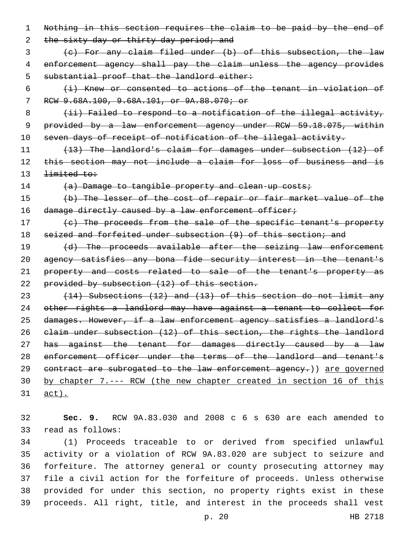1 Nothing in this section requires the claim to be paid by the end of 2 the sixty day or thirty day period; and 3 (c) For any claim filed under (b) of this subsection, the law 4 enforcement agency shall pay the claim unless the agency provides 5 substantial proof that the landlord either:  $6$  (i) Knew or consented to actions of the tenant in violation of 7 RCW 9.68A.100, 9.68A.101, or 9A.88.070; or 8 (ii) Failed to respond to a notification of the illegal activity, 9 provided by a law enforcement agency under RCW 59.18.075, within 10 seven days of receipt of notification of the illegal activity. 11 (13) The landlord's claim for damages under subsection (12) of 12 this section may not include a claim for loss of business and is 13 <del>limited to:</del> 14 (a) Damage to tangible property and clean-up costs; 15 (b) The lesser of the cost of repair or fair market value of the 16 damage directly caused by a law enforcement officer; 17 (c) The proceeds from the sale of the specific tenant's property 18 seized and forfeited under subsection (9) of this section; and 19 (d) The proceeds available after the seizing law enforcement 20 agency satisfies any bona fide security interest in the tenant's 21 property and costs related to sale of the tenant's property as 22 provided by subsection (12) of this section. 23 (14) Subsections (12) and (13) of this section do not limit any 24 other rights a landlord may have against a tenant to collect for 25 damages. However, if a law enforcement agency satisfies a landlord's 26 claim under subsection (12) of this section, the rights the landlord 27 has against the tenant for damages directly caused by a law 28 enforcement officer under the terms of the landlord and tenant's 29 contract are subrogated to the law enforcement agency.) are governed 30 by chapter 7.--- RCW (the new chapter created in section 16 of this 31 act).

32 **Sec. 9.** RCW 9A.83.030 and 2008 c 6 s 630 are each amended to 33 read as follows:

 (1) Proceeds traceable to or derived from specified unlawful activity or a violation of RCW 9A.83.020 are subject to seizure and forfeiture. The attorney general or county prosecuting attorney may file a civil action for the forfeiture of proceeds. Unless otherwise provided for under this section, no property rights exist in these proceeds. All right, title, and interest in the proceeds shall vest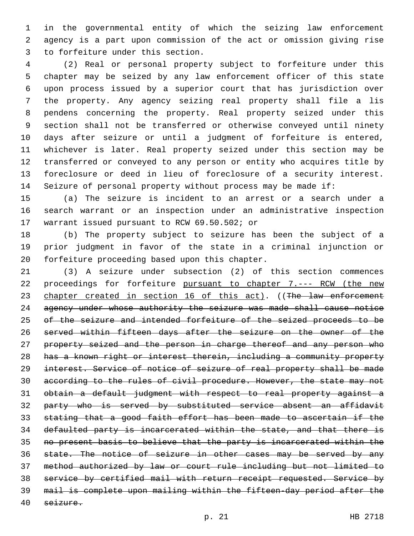in the governmental entity of which the seizing law enforcement agency is a part upon commission of the act or omission giving rise 3 to forfeiture under this section.

 (2) Real or personal property subject to forfeiture under this chapter may be seized by any law enforcement officer of this state upon process issued by a superior court that has jurisdiction over the property. Any agency seizing real property shall file a lis pendens concerning the property. Real property seized under this section shall not be transferred or otherwise conveyed until ninety days after seizure or until a judgment of forfeiture is entered, whichever is later. Real property seized under this section may be transferred or conveyed to any person or entity who acquires title by foreclosure or deed in lieu of foreclosure of a security interest. Seizure of personal property without process may be made if:

 (a) The seizure is incident to an arrest or a search under a search warrant or an inspection under an administrative inspection 17 warrant issued pursuant to RCW 69.50.502; or

 (b) The property subject to seizure has been the subject of a prior judgment in favor of the state in a criminal injunction or 20 forfeiture proceeding based upon this chapter.

 (3) A seizure under subsection (2) of this section commences 22 proceedings for forfeiture pursuant to chapter 7.--- RCW (the new 23 chapter created in section 16 of this act). ((The law enforcement 24 agency under whose authority the seizure was made shall cause notice 25 of the seizure and intended forfeiture of the seized proceeds to be served within fifteen days after the seizure on the owner of the 27 property seized and the person in charge thereof and any person who has a known right or interest therein, including a community property interest. Service of notice of seizure of real property shall be made according to the rules of civil procedure. However, the state may not obtain a default judgment with respect to real property against a party who is served by substituted service absent an affidavit stating that a good faith effort has been made to ascertain if the defaulted party is incarcerated within the state, and that there is no present basis to believe that the party is incarcerated within the 36 state. The notice of seizure in other cases may be served by any method authorized by law or court rule including but not limited to service by certified mail with return receipt requested. Service by mail is complete upon mailing within the fifteen-day period after the seizure.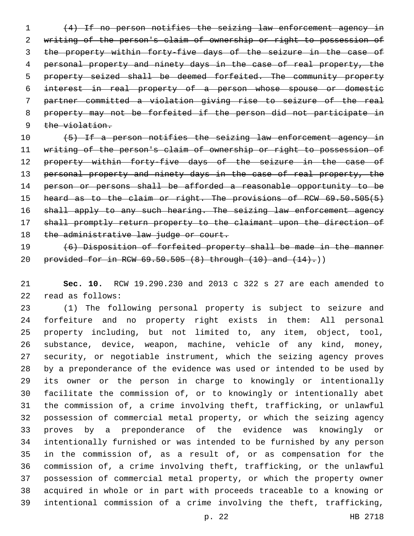(4) If no person notifies the seizing law enforcement agency in writing of the person's claim of ownership or right to possession of the property within forty-five days of the seizure in the case of personal property and ninety days in the case of real property, the property seized shall be deemed forfeited. The community property interest in real property of a person whose spouse or domestic partner committed a violation giving rise to seizure of the real property may not be forfeited if the person did not participate in 9 the violation.

10 (5) If a person notifies the seizing law enforcement agency in writing of the person's claim of ownership or right to possession of 12 property within forty-five days of the seizure in the case of 13 personal property and ninety days in the case of real property, the 14 person or persons shall be afforded a reasonable opportunity to be 15 heard as to the claim or right. The provisions of RCW 69.50.505(5) 16 shall apply to any such hearing. The seizing law enforcement agency shall promptly return property to the claimant upon the direction of 18 the administrative law judge or court.

 (6) Disposition of forfeited property shall be made in the manner 20 provided for in RCW  $69.50.505$   $(8)$  through  $(10)$  and  $(14)$ .)

 **Sec. 10.** RCW 19.290.230 and 2013 c 322 s 27 are each amended to 22 read as follows:

 (1) The following personal property is subject to seizure and forfeiture and no property right exists in them: All personal property including, but not limited to, any item, object, tool, substance, device, weapon, machine, vehicle of any kind, money, security, or negotiable instrument, which the seizing agency proves by a preponderance of the evidence was used or intended to be used by its owner or the person in charge to knowingly or intentionally facilitate the commission of, or to knowingly or intentionally abet the commission of, a crime involving theft, trafficking, or unlawful possession of commercial metal property, or which the seizing agency proves by a preponderance of the evidence was knowingly or intentionally furnished or was intended to be furnished by any person in the commission of, as a result of, or as compensation for the commission of, a crime involving theft, trafficking, or the unlawful possession of commercial metal property, or which the property owner acquired in whole or in part with proceeds traceable to a knowing or intentional commission of a crime involving the theft, trafficking,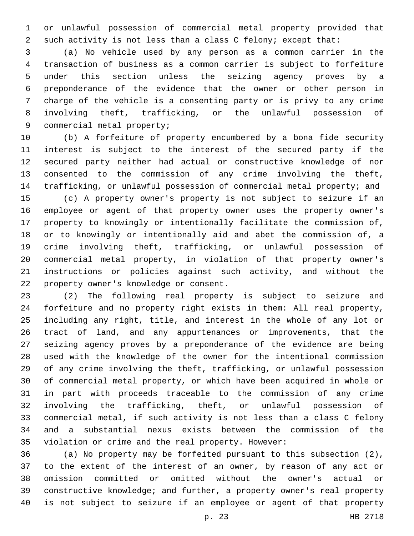or unlawful possession of commercial metal property provided that such activity is not less than a class C felony; except that:

 (a) No vehicle used by any person as a common carrier in the transaction of business as a common carrier is subject to forfeiture under this section unless the seizing agency proves by a preponderance of the evidence that the owner or other person in charge of the vehicle is a consenting party or is privy to any crime involving theft, trafficking, or the unlawful possession of 9 commercial metal property;

 (b) A forfeiture of property encumbered by a bona fide security interest is subject to the interest of the secured party if the secured party neither had actual or constructive knowledge of nor consented to the commission of any crime involving the theft, trafficking, or unlawful possession of commercial metal property; and

 (c) A property owner's property is not subject to seizure if an employee or agent of that property owner uses the property owner's property to knowingly or intentionally facilitate the commission of, or to knowingly or intentionally aid and abet the commission of, a crime involving theft, trafficking, or unlawful possession of commercial metal property, in violation of that property owner's instructions or policies against such activity, and without the 22 property owner's knowledge or consent.

 (2) The following real property is subject to seizure and forfeiture and no property right exists in them: All real property, including any right, title, and interest in the whole of any lot or tract of land, and any appurtenances or improvements, that the seizing agency proves by a preponderance of the evidence are being used with the knowledge of the owner for the intentional commission of any crime involving the theft, trafficking, or unlawful possession of commercial metal property, or which have been acquired in whole or in part with proceeds traceable to the commission of any crime involving the trafficking, theft, or unlawful possession of commercial metal, if such activity is not less than a class C felony and a substantial nexus exists between the commission of the violation or crime and the real property. However:

 (a) No property may be forfeited pursuant to this subsection (2), to the extent of the interest of an owner, by reason of any act or omission committed or omitted without the owner's actual or constructive knowledge; and further, a property owner's real property is not subject to seizure if an employee or agent of that property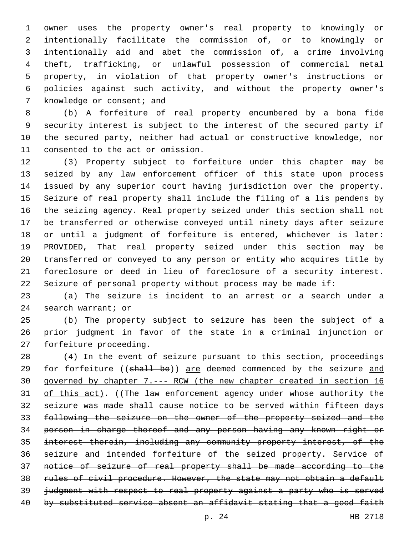owner uses the property owner's real property to knowingly or intentionally facilitate the commission of, or to knowingly or intentionally aid and abet the commission of, a crime involving theft, trafficking, or unlawful possession of commercial metal property, in violation of that property owner's instructions or policies against such activity, and without the property owner's 7 knowledge or consent; and

 (b) A forfeiture of real property encumbered by a bona fide security interest is subject to the interest of the secured party if the secured party, neither had actual or constructive knowledge, nor 11 consented to the act or omission.

 (3) Property subject to forfeiture under this chapter may be seized by any law enforcement officer of this state upon process issued by any superior court having jurisdiction over the property. Seizure of real property shall include the filing of a lis pendens by the seizing agency. Real property seized under this section shall not be transferred or otherwise conveyed until ninety days after seizure or until a judgment of forfeiture is entered, whichever is later: PROVIDED, That real property seized under this section may be transferred or conveyed to any person or entity who acquires title by foreclosure or deed in lieu of foreclosure of a security interest. Seizure of personal property without process may be made if:

 (a) The seizure is incident to an arrest or a search under a 24 search warrant; or

 (b) The property subject to seizure has been the subject of a prior judgment in favor of the state in a criminal injunction or 27 forfeiture proceeding.

 (4) In the event of seizure pursuant to this section, proceedings 29 for forfeiture ((shall be)) are deemed commenced by the seizure and governed by chapter 7.--- RCW (the new chapter created in section 16 31 of this act). ((The law enforcement agency under whose authority the seizure was made shall cause notice to be served within fifteen days following the seizure on the owner of the property seized and the person in charge thereof and any person having any known right or interest therein, including any community property interest, of the seizure and intended forfeiture of the seized property. Service of notice of seizure of real property shall be made according to the rules of civil procedure. However, the state may not obtain a default judgment with respect to real property against a party who is served 40 by substituted service absent an affidavit stating that a good faith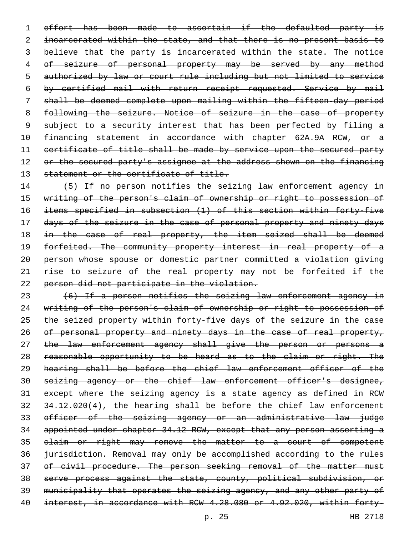effort has been made to ascertain if the defaulted party is 2 incarcerated within the state, and that there is no present basis to 3 believe that the party is incarcerated within the state. The notice 4 of seizure of personal property may be served by any method authorized by law or court rule including but not limited to service by certified mail with return receipt requested. Service by mail shall be deemed complete upon mailing within the fifteen-day period 8 following the seizure. Notice of seizure in the case of property 9 subject to a security interest that has been perfected by filing a financing statement in accordance with chapter 62A.9A RCW, or a certificate of title shall be made by service upon the secured party 12 or the secured party's assignee at the address shown on the financing 13 statement or the certificate of title.

14 (5) If no person notifies the seizing law enforcement agency in writing of the person's claim of ownership or right to possession of items specified in subsection (1) of this section within forty-five 17 days of the seizure in the case of personal property and ninety days 18 in the case of real property, the item seized shall be deemed 19 forfeited. The community property interest in real property of a person whose spouse or domestic partner committed a violation giving rise to seizure of the real property may not be forfeited if the person did not participate in the violation.

 (6) If a person notifies the seizing law enforcement agency in writing of the person's claim of ownership or right to possession of the seized property within forty-five days of the seizure in the case 26 of personal property and ninety days in the case of real property, 27 the law enforcement agency shall give the person or persons a 28 reasonable opportunity to be heard as to the claim or right. The hearing shall be before the chief law enforcement officer of the seizing agency or the chief law enforcement officer's designee, except where the seizing agency is a state agency as defined in RCW 34.12.020(4), the hearing shall be before the chief law enforcement officer of the seizing agency or an administrative law judge appointed under chapter 34.12 RCW, except that any person asserting a claim or right may remove the matter to a court of competent jurisdiction. Removal may only be accomplished according to the rules 37 of civil procedure. The person seeking removal of the matter must serve process against the state, county, political subdivision, or municipality that operates the seizing agency, and any other party of interest, in accordance with RCW 4.28.080 or 4.92.020, within forty-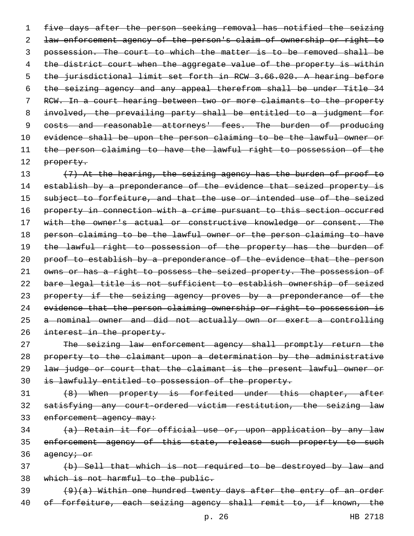five days after the person seeking removal has notified the seizing law enforcement agency of the person's claim of ownership or right to possession. The court to which the matter is to be removed shall be 4 the district court when the aggregate value of the property is within the jurisdictional limit set forth in RCW 3.66.020. A hearing before the seizing agency and any appeal therefrom shall be under Title 34 RCW. In a court hearing between two or more claimants to the property 8 involved, the prevailing party shall be entitled to a judgment for 9 costs and reasonable attorneys' fees. The burden of producing evidence shall be upon the person claiming to be the lawful owner or the person claiming to have the lawful right to possession of the 12 property.

13 (7) At the hearing, the seizing agency has the burden of proof to 14 establish by a preponderance of the evidence that seized property is 15 subject to forfeiture, and that the use or intended use of the seized 16 property in connection with a crime pursuant to this section occurred 17 with the owner's actual or constructive knowledge or consent. The 18 person claiming to be the lawful owner or the person claiming to have 19 the lawful right to possession of the property has the burden of 20 proof to establish by a preponderance of the evidence that the person 21 owns or has a right to possess the seized property. The possession of 22 bare legal title is not sufficient to establish ownership of seized 23 property if the seizing agency proves by a preponderance of the 24 evidence that the person claiming ownership or right to possession is 25 a nominal owner and did not actually own or exert a controlling 26 interest in the property.

27 The seizing law enforcement agency shall promptly return the property to the claimant upon a determination by the administrative law judge or court that the claimant is the present lawful owner or is lawfully entitled to possession of the property.

31 (8) When property is forfeited under this chapter, after 32 satisfying any court-ordered victim restitution, the seizing law 33 enforcement agency may:

34 (a) Retain it for official use or, upon application by any law 35 enforcement agency of this state, release such property to such 36 agency; or

37 (b) Sell that which is not required to be destroyed by law and 38 which is not harmful to the public.

 $39$  (9)(a) Within one hundred twenty days after the entry of an order 40 of forfeiture, each seizing agency shall remit to, if known, the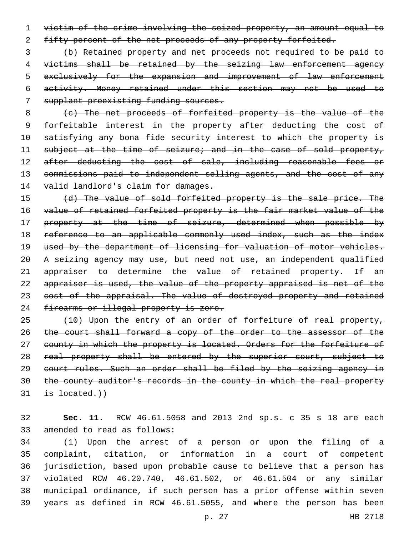1 victim of the crime involving the seized property, an amount equal to 2 fifty percent of the net proceeds of any property forfeited.

 (b) Retained property and net proceeds not required to be paid to victims shall be retained by the seizing law enforcement agency exclusively for the expansion and improvement of law enforcement activity. Money retained under this section may not be used to supplant preexisting funding sources.

8 (c) The net proceeds of forfeited property is the value of the 9 forfeitable interest in the property after deducting the cost of 10 satisfying any bona fide security interest to which the property is 11 subject at the time of seizure; and in the case of sold property, 12 after deducting the cost of sale, including reasonable fees or 13 commissions paid to independent selling agents, and the cost of any 14 valid landlord's claim for damages.

15 (d) The value of sold forfeited property is the sale price. The 16 value of retained forfeited property is the fair market value of the 17 property at the time of seizure, determined when possible by 18 reference to an applicable commonly used index, such as the index 19 used by the department of licensing for valuation of motor vehicles. 20 A seizing agency may use, but need not use, an independent qualified 21 appraiser to determine the value of retained property. If an 22 appraiser is used, the value of the property appraised is net of the 23 cost of the appraisal. The value of destroyed property and retained 24 firearms or illegal property is zero.

25 (10) Upon the entry of an order of forfeiture of real property, 26 the court shall forward a copy of the order to the assessor of the 27 county in which the property is located. Orders for the forfeiture of 28 real property shall be entered by the superior court, subject to 29 court rules. Such an order shall be filed by the seizing agency in 30 the county auditor's records in the county in which the real property  $31$  is located.)

32 **Sec. 11.** RCW 46.61.5058 and 2013 2nd sp.s. c 35 s 18 are each 33 amended to read as follows:

 (1) Upon the arrest of a person or upon the filing of a complaint, citation, or information in a court of competent jurisdiction, based upon probable cause to believe that a person has violated RCW 46.20.740, 46.61.502, or 46.61.504 or any similar municipal ordinance, if such person has a prior offense within seven years as defined in RCW 46.61.5055, and where the person has been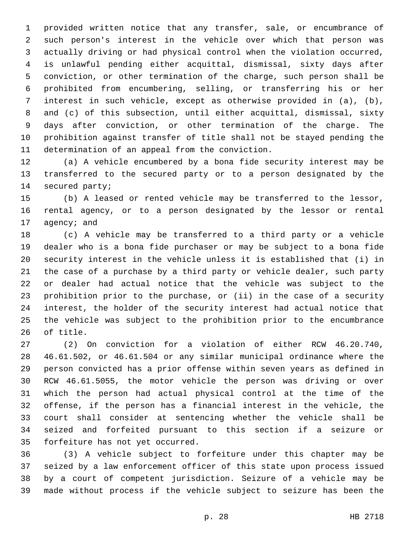provided written notice that any transfer, sale, or encumbrance of such person's interest in the vehicle over which that person was actually driving or had physical control when the violation occurred, is unlawful pending either acquittal, dismissal, sixty days after conviction, or other termination of the charge, such person shall be prohibited from encumbering, selling, or transferring his or her interest in such vehicle, except as otherwise provided in (a), (b), and (c) of this subsection, until either acquittal, dismissal, sixty days after conviction, or other termination of the charge. The prohibition against transfer of title shall not be stayed pending the 11 determination of an appeal from the conviction.

 (a) A vehicle encumbered by a bona fide security interest may be transferred to the secured party or to a person designated by the 14 secured party;

 (b) A leased or rented vehicle may be transferred to the lessor, rental agency, or to a person designated by the lessor or rental 17 agency; and

 (c) A vehicle may be transferred to a third party or a vehicle dealer who is a bona fide purchaser or may be subject to a bona fide security interest in the vehicle unless it is established that (i) in the case of a purchase by a third party or vehicle dealer, such party or dealer had actual notice that the vehicle was subject to the prohibition prior to the purchase, or (ii) in the case of a security interest, the holder of the security interest had actual notice that the vehicle was subject to the prohibition prior to the encumbrance 26 of title.

 (2) On conviction for a violation of either RCW 46.20.740, 46.61.502, or 46.61.504 or any similar municipal ordinance where the person convicted has a prior offense within seven years as defined in RCW 46.61.5055, the motor vehicle the person was driving or over which the person had actual physical control at the time of the offense, if the person has a financial interest in the vehicle, the court shall consider at sentencing whether the vehicle shall be seized and forfeited pursuant to this section if a seizure or 35 forfeiture has not yet occurred.

 (3) A vehicle subject to forfeiture under this chapter may be seized by a law enforcement officer of this state upon process issued by a court of competent jurisdiction. Seizure of a vehicle may be made without process if the vehicle subject to seizure has been the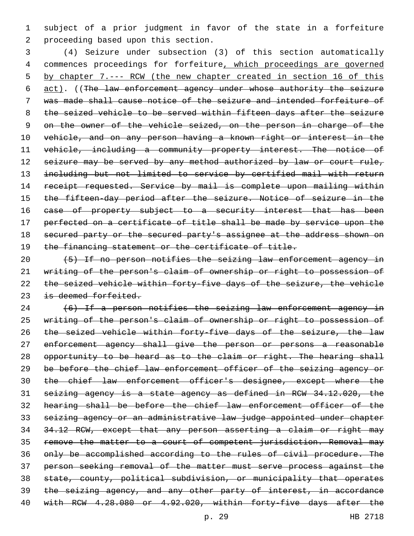subject of a prior judgment in favor of the state in a forfeiture 2 proceeding based upon this section.

 (4) Seizure under subsection (3) of this section automatically commences proceedings for forfeiture, which proceedings are governed by chapter 7.--- RCW (the new chapter created in section 16 of this act). ((The law enforcement agency under whose authority the seizure was made shall cause notice of the seizure and intended forfeiture of the seized vehicle to be served within fifteen days after the seizure 9 on the owner of the vehicle seized, on the person in charge of the vehicle, and on any person having a known right or interest in the vehicle, including a community property interest. The notice of 12 seizure may be served by any method authorized by law or court rule, including but not limited to service by certified mail with return 14 receipt requested. Service by mail is complete upon mailing within the fifteen-day period after the seizure. Notice of seizure in the 16 ease of property subject to a security interest that has been perfected on a certificate of title shall be made by service upon the 18 secured party or the secured party's assignee at the address shown on 19 the financing statement or the certificate of title.

 (5) If no person notifies the seizing law enforcement agency in writing of the person's claim of ownership or right to possession of the seized vehicle within forty-five days of the seizure, the vehicle 23 is deemed forfeited.

 (6) If a person notifies the seizing law enforcement agency in writing of the person's claim of ownership or right to possession of the seized vehicle within forty-five days of the seizure, the law 27 enforcement agency shall give the person or persons a reasonable 28 opportunity to be heard as to the claim or right. The hearing shall be before the chief law enforcement officer of the seizing agency or 30 the chief law enforcement officer's designee, except where the seizing agency is a state agency as defined in RCW 34.12.020, the hearing shall be before the chief law enforcement officer of the seizing agency or an administrative law judge appointed under chapter 34.12 RCW, except that any person asserting a claim or right may remove the matter to a court of competent jurisdiction. Removal may only be accomplished according to the rules of civil procedure. The person seeking removal of the matter must serve process against the state, county, political subdivision, or municipality that operates the seizing agency, and any other party of interest, in accordance with RCW 4.28.080 or 4.92.020, within forty-five days after the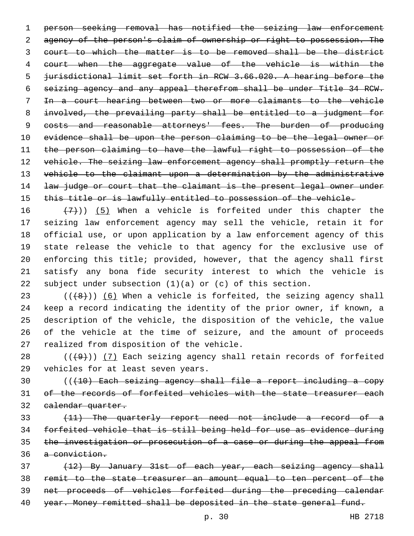person seeking removal has notified the seizing law enforcement agency of the person's claim of ownership or right to possession. The court to which the matter is to be removed shall be the district court when the aggregate value of the vehicle is within the jurisdictional limit set forth in RCW 3.66.020. A hearing before the seizing agency and any appeal therefrom shall be under Title 34 RCW. In a court hearing between two or more claimants to the vehicle involved, the prevailing party shall be entitled to a judgment for 9 costs and reasonable attorneys' fees. The burden of producing evidence shall be upon the person claiming to be the legal owner or the person claiming to have the lawful right to possession of the 12 vehicle. The seizing law enforcement agency shall promptly return the 13 vehicle to the claimant upon a determination by the administrative 14 law judge or court that the claimant is the present legal owner under 15 this title or is lawfully entitled to possession of the vehicle.

 $(7)$ )) (5) When a vehicle is forfeited under this chapter the seizing law enforcement agency may sell the vehicle, retain it for official use, or upon application by a law enforcement agency of this state release the vehicle to that agency for the exclusive use of enforcing this title; provided, however, that the agency shall first satisfy any bona fide security interest to which the vehicle is subject under subsection (1)(a) or (c) of this section.

 $((+8))$   $(6)$  When a vehicle is forfeited, the seizing agency shall keep a record indicating the identity of the prior owner, if known, a description of the vehicle, the disposition of the vehicle, the value of the vehicle at the time of seizure, and the amount of proceeds 27 realized from disposition of the vehicle.

28  $((+9))$   $(7)$  Each seizing agency shall retain records of forfeited 29 vehicles for at least seven years.

 (((10) Each seizing agency shall file a report including a copy 31 of the records of forfeited vehicles with the state treasurer each calendar quarter.

 (11) The quarterly report need not include a record of a forfeited vehicle that is still being held for use as evidence during 35 the investigation or prosecution of a case or during the appeal from a conviction.

 (12) By January 31st of each year, each seizing agency shall remit to the state treasurer an amount equal to ten percent of the net proceeds of vehicles forfeited during the preceding calendar year. Money remitted shall be deposited in the state general fund.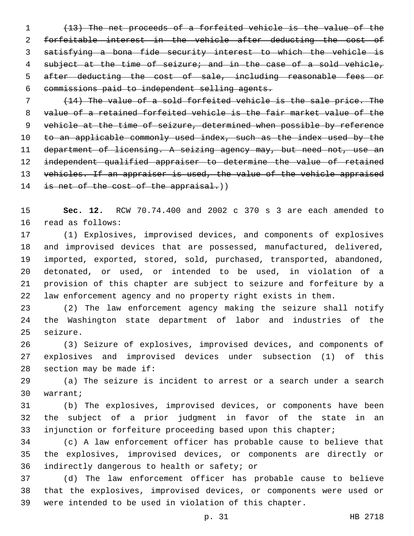(13) The net proceeds of a forfeited vehicle is the value of the forfeitable interest in the vehicle after deducting the cost of satisfying a bona fide security interest to which the vehicle is 4 subject at the time of seizure; and in the case of a sold vehicle, 5 after deducting the cost of sale, including reasonable fees or commissions paid to independent selling agents.

 (14) The value of a sold forfeited vehicle is the sale price. The value of a retained forfeited vehicle is the fair market value of the vehicle at the time of seizure, determined when possible by reference 10 to an applicable commonly used index, such as the index used by the 11 department of licensing. A seizing agency may, but need not, use an independent qualified appraiser to determine the value of retained 13 vehicles. If an appraiser is used, the value of the vehicle appraised 14 is net of the cost of the appraisal.))

 **Sec. 12.** RCW 70.74.400 and 2002 c 370 s 3 are each amended to 16 read as follows:

 (1) Explosives, improvised devices, and components of explosives and improvised devices that are possessed, manufactured, delivered, imported, exported, stored, sold, purchased, transported, abandoned, detonated, or used, or intended to be used, in violation of a provision of this chapter are subject to seizure and forfeiture by a law enforcement agency and no property right exists in them.

 (2) The law enforcement agency making the seizure shall notify the Washington state department of labor and industries of the 25 seizure.

 (3) Seizure of explosives, improvised devices, and components of explosives and improvised devices under subsection (1) of this section may be made if:

 (a) The seizure is incident to arrest or a search under a search warrant;30

 (b) The explosives, improvised devices, or components have been the subject of a prior judgment in favor of the state in an injunction or forfeiture proceeding based upon this chapter;

 (c) A law enforcement officer has probable cause to believe that the explosives, improvised devices, or components are directly or 36 indirectly dangerous to health or safety; or

 (d) The law enforcement officer has probable cause to believe that the explosives, improvised devices, or components were used or were intended to be used in violation of this chapter.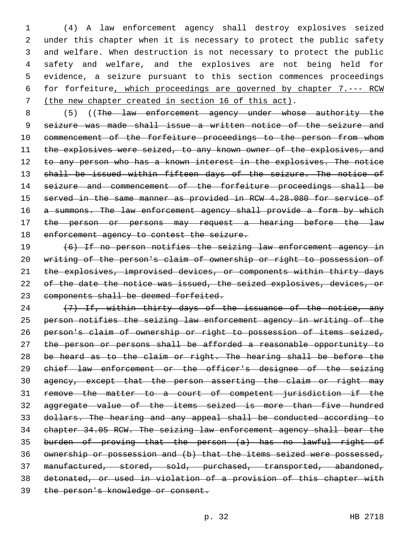(4) A law enforcement agency shall destroy explosives seized under this chapter when it is necessary to protect the public safety and welfare. When destruction is not necessary to protect the public safety and welfare, and the explosives are not being held for evidence, a seizure pursuant to this section commences proceedings for forfeiture, which proceedings are governed by chapter 7.--- RCW (the new chapter created in section 16 of this act).

8 (5) ((The law enforcement agency under whose authority the seizure was made shall issue a written notice of the seizure and 10 commencement of the forfeiture proceedings to the person from whom 11 the explosives were seized, to any known owner of the explosives, and 12 to any person who has a known interest in the explosives. The notice 13 shall be issued within fifteen days of the seizure. The notice of 14 seizure and commencement of the forfeiture proceedings shall be served in the same manner as provided in RCW 4.28.080 for service of 16 a summons. The law enforcement agency shall provide a form by which 17 the person or persons may request a hearing before the law 18 enforcement agency to contest the seizure.

 (6) If no person notifies the seizing law enforcement agency in writing of the person's claim of ownership or right to possession of 21 the explosives, improvised devices, or components within thirty days 22 of the date the notice was issued, the seized explosives, devices, or components shall be deemed forfeited.

24 (7) If, within thirty days of the issuance of the notice, any person notifies the seizing law enforcement agency in writing of the person's claim of ownership or right to possession of items seized, 27 the person or persons shall be afforded a reasonable opportunity to 28 be heard as to the claim or right. The hearing shall be before the chief law enforcement or the officer's designee of the seizing agency, except that the person asserting the claim or right may remove the matter to a court of competent jurisdiction if the aggregate value of the items seized is more than five hundred dollars. The hearing and any appeal shall be conducted according to chapter 34.05 RCW. The seizing law enforcement agency shall bear the burden of proving that the person (a) has no lawful right of ownership or possession and (b) that the items seized were possessed, manufactured, stored, sold, purchased, transported, abandoned, detonated, or used in violation of a provision of this chapter with the person's knowledge or consent.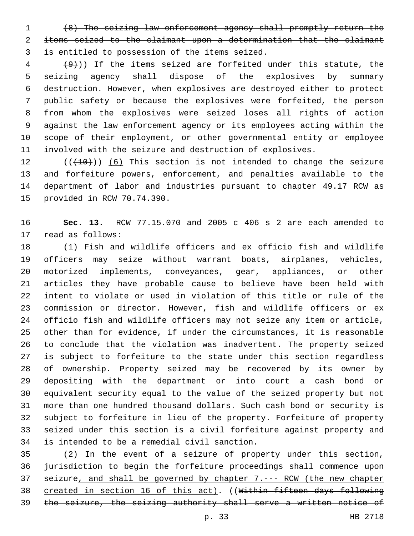(8) The seizing law enforcement agency shall promptly return the items seized to the claimant upon a determination that the claimant is entitled to possession of the items seized.

 $(4)$  (9)) If the items seized are forfeited under this statute, the seizing agency shall dispose of the explosives by summary destruction. However, when explosives are destroyed either to protect public safety or because the explosives were forfeited, the person from whom the explosives were seized loses all rights of action against the law enforcement agency or its employees acting within the scope of their employment, or other governmental entity or employee involved with the seizure and destruction of explosives.

 (( $(10)$ )) (6) This section is not intended to change the seizure and forfeiture powers, enforcement, and penalties available to the department of labor and industries pursuant to chapter 49.17 RCW as 15 provided in RCW 70.74.390.

 **Sec. 13.** RCW 77.15.070 and 2005 c 406 s 2 are each amended to 17 read as follows:

 (1) Fish and wildlife officers and ex officio fish and wildlife officers may seize without warrant boats, airplanes, vehicles, motorized implements, conveyances, gear, appliances, or other articles they have probable cause to believe have been held with intent to violate or used in violation of this title or rule of the commission or director. However, fish and wildlife officers or ex officio fish and wildlife officers may not seize any item or article, other than for evidence, if under the circumstances, it is reasonable to conclude that the violation was inadvertent. The property seized is subject to forfeiture to the state under this section regardless of ownership. Property seized may be recovered by its owner by depositing with the department or into court a cash bond or equivalent security equal to the value of the seized property but not more than one hundred thousand dollars. Such cash bond or security is subject to forfeiture in lieu of the property. Forfeiture of property seized under this section is a civil forfeiture against property and 34 is intended to be a remedial civil sanction.

 (2) In the event of a seizure of property under this section, jurisdiction to begin the forfeiture proceedings shall commence upon seizure, and shall be governed by chapter 7.--- RCW (the new chapter 38 created in section 16 of this act). ((Within fifteen days following the seizure, the seizing authority shall serve a written notice of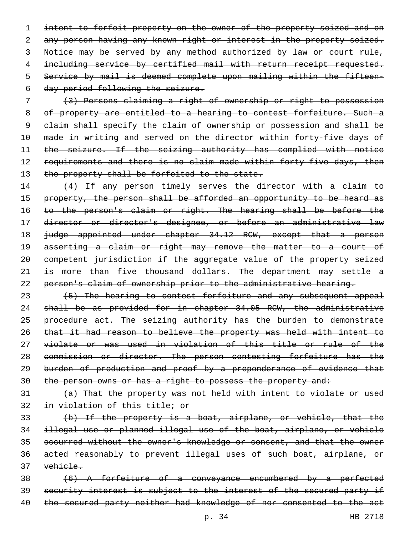1 intent to forfeit property on the owner of the property seized and on 2 any person having any known right or interest in the property seized. 3 Notice may be served by any method authorized by law or court rule, 4 including service by certified mail with return receipt requested. 5 Service by mail is deemed complete upon mailing within the fifteen-6 day period following the seizure.

 (3) Persons claiming a right of ownership or right to possession of property are entitled to a hearing to contest forfeiture. Such a claim shall specify the claim of ownership or possession and shall be made in writing and served on the director within forty-five days of the seizure. If the seizing authority has complied with notice 12 requirements and there is no claim made within forty-five days, then 13 the property shall be forfeited to the state.

14 (4) If any person timely serves the director with a claim to 15 property, the person shall be afforded an opportunity to be heard as 16 to the person's claim or right. The hearing shall be before the 17 director or director's designee, or before an administrative law 18 <del>judge appointed under chapter 34.12 RCW, except that a person</del> 19 asserting a claim or right may remove the matter to a court of 20 competent jurisdiction if the aggregate value of the property seized 21 is more than five thousand dollars. The department may settle a 22 person's claim of ownership prior to the administrative hearing.

23 (5) The hearing to contest forfeiture and any subsequent appeal shall be as provided for in chapter 34.05 RCW, the administrative 25 procedure act. The seizing authority has the burden to demonstrate that it had reason to believe the property was held with intent to violate or was used in violation of this title or rule of the commission or director. The person contesting forfeiture has the burden of production and proof by a preponderance of evidence that 30 the person owns or has a right to possess the property and:

31 (a) That the property was not held with intent to violate or used 32 in violation of this title; or

 (b) If the property is a boat, airplane, or vehicle, that the illegal use or planned illegal use of the boat, airplane, or vehicle occurred without the owner's knowledge or consent, and that the owner acted reasonably to prevent illegal uses of such boat, airplane, or 37 vehicle.

38 (6) A forfeiture of a conveyance encumbered by a perfected 39 security interest is subject to the interest of the secured party if 40 the secured party neither had knowledge of nor consented to the act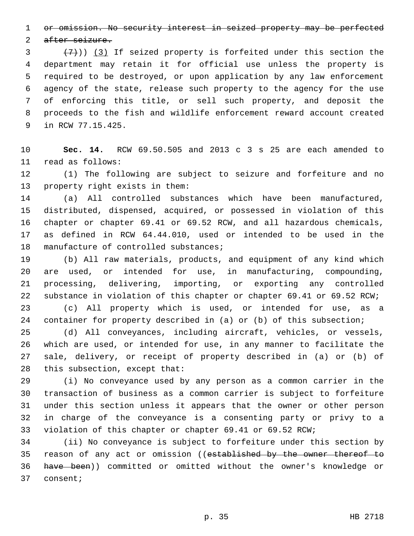or omission. No security interest in seized property may be perfected

2 after seizure.

 $(7+))$   $(3)$  If seized property is forfeited under this section the department may retain it for official use unless the property is required to be destroyed, or upon application by any law enforcement agency of the state, release such property to the agency for the use of enforcing this title, or sell such property, and deposit the proceeds to the fish and wildlife enforcement reward account created 9 in RCW 77.15.425.

 **Sec. 14.** RCW 69.50.505 and 2013 c 3 s 25 are each amended to read as follows:11

 (1) The following are subject to seizure and forfeiture and no 13 property right exists in them:

 (a) All controlled substances which have been manufactured, distributed, dispensed, acquired, or possessed in violation of this chapter or chapter 69.41 or 69.52 RCW, and all hazardous chemicals, as defined in RCW 64.44.010, used or intended to be used in the 18 manufacture of controlled substances;

 (b) All raw materials, products, and equipment of any kind which are used, or intended for use, in manufacturing, compounding, processing, delivering, importing, or exporting any controlled 22 substance in violation of this chapter or chapter 69.41 or 69.52 RCW;

 (c) All property which is used, or intended for use, as a container for property described in (a) or (b) of this subsection;

 (d) All conveyances, including aircraft, vehicles, or vessels, which are used, or intended for use, in any manner to facilitate the sale, delivery, or receipt of property described in (a) or (b) of 28 this subsection, except that:

 (i) No conveyance used by any person as a common carrier in the transaction of business as a common carrier is subject to forfeiture under this section unless it appears that the owner or other person in charge of the conveyance is a consenting party or privy to a violation of this chapter or chapter 69.41 or 69.52 RCW;

 (ii) No conveyance is subject to forfeiture under this section by 35 reason of any act or omission ((established by the owner thereof to have been)) committed or omitted without the owner's knowledge or 37 consent;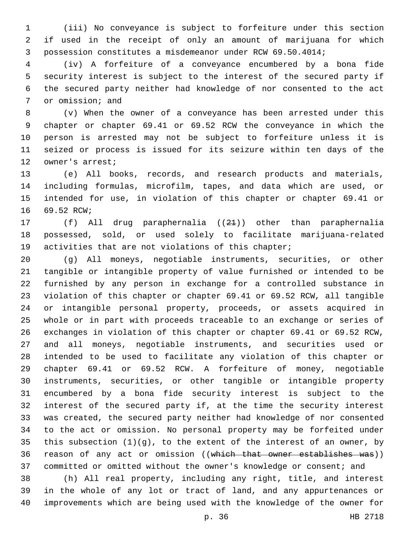(iii) No conveyance is subject to forfeiture under this section if used in the receipt of only an amount of marijuana for which possession constitutes a misdemeanor under RCW 69.50.4014;

 (iv) A forfeiture of a conveyance encumbered by a bona fide security interest is subject to the interest of the secured party if the secured party neither had knowledge of nor consented to the act 7 or omission; and

 (v) When the owner of a conveyance has been arrested under this chapter or chapter 69.41 or 69.52 RCW the conveyance in which the person is arrested may not be subject to forfeiture unless it is seized or process is issued for its seizure within ten days of the 12 owner's arrest;

 (e) All books, records, and research products and materials, including formulas, microfilm, tapes, and data which are used, or intended for use, in violation of this chapter or chapter 69.41 or 16 69.52 RCW;

 (f) All drug paraphernalia ((21)) other than paraphernalia possessed, sold, or used solely to facilitate marijuana-related activities that are not violations of this chapter;

 (g) All moneys, negotiable instruments, securities, or other tangible or intangible property of value furnished or intended to be furnished by any person in exchange for a controlled substance in violation of this chapter or chapter 69.41 or 69.52 RCW, all tangible or intangible personal property, proceeds, or assets acquired in whole or in part with proceeds traceable to an exchange or series of exchanges in violation of this chapter or chapter 69.41 or 69.52 RCW, and all moneys, negotiable instruments, and securities used or intended to be used to facilitate any violation of this chapter or chapter 69.41 or 69.52 RCW. A forfeiture of money, negotiable instruments, securities, or other tangible or intangible property encumbered by a bona fide security interest is subject to the interest of the secured party if, at the time the security interest was created, the secured party neither had knowledge of nor consented to the act or omission. No personal property may be forfeited under 35 this subsection  $(1)(g)$ , to the extent of the interest of an owner, by reason of any act or omission ((which that owner establishes was)) committed or omitted without the owner's knowledge or consent; and

 (h) All real property, including any right, title, and interest in the whole of any lot or tract of land, and any appurtenances or improvements which are being used with the knowledge of the owner for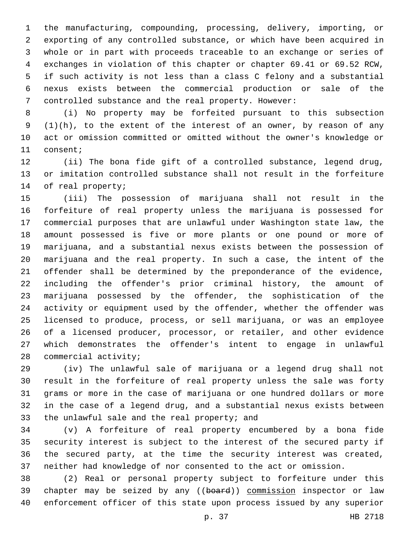the manufacturing, compounding, processing, delivery, importing, or exporting of any controlled substance, or which have been acquired in whole or in part with proceeds traceable to an exchange or series of exchanges in violation of this chapter or chapter 69.41 or 69.52 RCW, if such activity is not less than a class C felony and a substantial nexus exists between the commercial production or sale of the controlled substance and the real property. However:

 (i) No property may be forfeited pursuant to this subsection  $(1)(h)$ , to the extent of the interest of an owner, by reason of any act or omission committed or omitted without the owner's knowledge or 11 consent;

 (ii) The bona fide gift of a controlled substance, legend drug, or imitation controlled substance shall not result in the forfeiture 14 of real property;

 (iii) The possession of marijuana shall not result in the forfeiture of real property unless the marijuana is possessed for commercial purposes that are unlawful under Washington state law, the amount possessed is five or more plants or one pound or more of marijuana, and a substantial nexus exists between the possession of marijuana and the real property. In such a case, the intent of the offender shall be determined by the preponderance of the evidence, including the offender's prior criminal history, the amount of marijuana possessed by the offender, the sophistication of the activity or equipment used by the offender, whether the offender was licensed to produce, process, or sell marijuana, or was an employee of a licensed producer, processor, or retailer, and other evidence which demonstrates the offender's intent to engage in unlawful 28 commercial activity;

 (iv) The unlawful sale of marijuana or a legend drug shall not result in the forfeiture of real property unless the sale was forty grams or more in the case of marijuana or one hundred dollars or more in the case of a legend drug, and a substantial nexus exists between 33 the unlawful sale and the real property; and

 (v) A forfeiture of real property encumbered by a bona fide security interest is subject to the interest of the secured party if the secured party, at the time the security interest was created, neither had knowledge of nor consented to the act or omission.

 (2) Real or personal property subject to forfeiture under this 39 chapter may be seized by any ((board)) commission inspector or law enforcement officer of this state upon process issued by any superior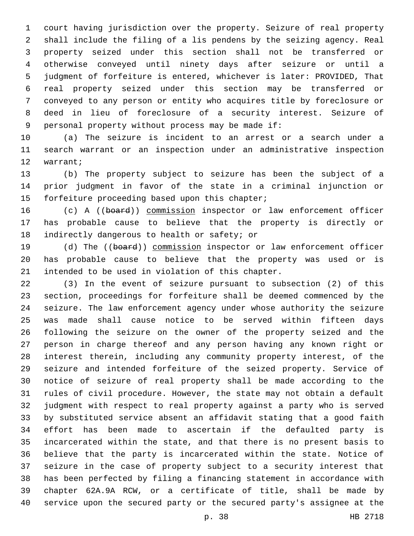court having jurisdiction over the property. Seizure of real property shall include the filing of a lis pendens by the seizing agency. Real property seized under this section shall not be transferred or otherwise conveyed until ninety days after seizure or until a judgment of forfeiture is entered, whichever is later: PROVIDED, That real property seized under this section may be transferred or conveyed to any person or entity who acquires title by foreclosure or deed in lieu of foreclosure of a security interest. Seizure of 9 personal property without process may be made if:

 (a) The seizure is incident to an arrest or a search under a search warrant or an inspection under an administrative inspection 12 warrant;

 (b) The property subject to seizure has been the subject of a prior judgment in favor of the state in a criminal injunction or 15 forfeiture proceeding based upon this chapter;

 (c) A ((board)) commission inspector or law enforcement officer has probable cause to believe that the property is directly or 18 indirectly dangerous to health or safety; or

19 (d) The ((board)) commission inspector or law enforcement officer has probable cause to believe that the property was used or is 21 intended to be used in violation of this chapter.

 (3) In the event of seizure pursuant to subsection (2) of this section, proceedings for forfeiture shall be deemed commenced by the seizure. The law enforcement agency under whose authority the seizure was made shall cause notice to be served within fifteen days following the seizure on the owner of the property seized and the person in charge thereof and any person having any known right or interest therein, including any community property interest, of the seizure and intended forfeiture of the seized property. Service of notice of seizure of real property shall be made according to the rules of civil procedure. However, the state may not obtain a default judgment with respect to real property against a party who is served by substituted service absent an affidavit stating that a good faith effort has been made to ascertain if the defaulted party is incarcerated within the state, and that there is no present basis to believe that the party is incarcerated within the state. Notice of seizure in the case of property subject to a security interest that has been perfected by filing a financing statement in accordance with chapter 62A.9A RCW, or a certificate of title, shall be made by service upon the secured party or the secured party's assignee at the

p. 38 HB 2718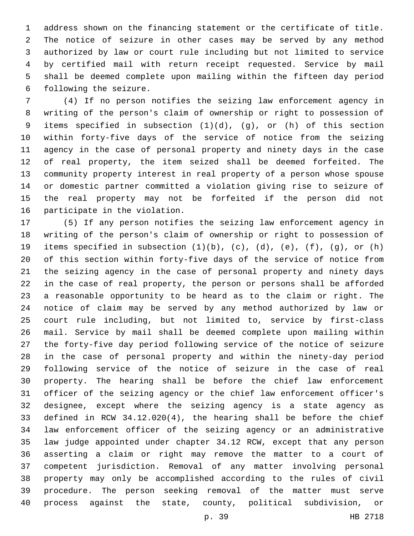address shown on the financing statement or the certificate of title. The notice of seizure in other cases may be served by any method authorized by law or court rule including but not limited to service by certified mail with return receipt requested. Service by mail shall be deemed complete upon mailing within the fifteen day period 6 following the seizure.

 (4) If no person notifies the seizing law enforcement agency in writing of the person's claim of ownership or right to possession of items specified in subsection (1)(d), (g), or (h) of this section within forty-five days of the service of notice from the seizing agency in the case of personal property and ninety days in the case of real property, the item seized shall be deemed forfeited. The community property interest in real property of a person whose spouse or domestic partner committed a violation giving rise to seizure of the real property may not be forfeited if the person did not 16 participate in the violation.

 (5) If any person notifies the seizing law enforcement agency in writing of the person's claim of ownership or right to possession of items specified in subsection (1)(b), (c), (d), (e), (f), (g), or (h) of this section within forty-five days of the service of notice from the seizing agency in the case of personal property and ninety days in the case of real property, the person or persons shall be afforded a reasonable opportunity to be heard as to the claim or right. The notice of claim may be served by any method authorized by law or court rule including, but not limited to, service by first-class mail. Service by mail shall be deemed complete upon mailing within the forty-five day period following service of the notice of seizure in the case of personal property and within the ninety-day period following service of the notice of seizure in the case of real property. The hearing shall be before the chief law enforcement officer of the seizing agency or the chief law enforcement officer's designee, except where the seizing agency is a state agency as defined in RCW 34.12.020(4), the hearing shall be before the chief law enforcement officer of the seizing agency or an administrative law judge appointed under chapter 34.12 RCW, except that any person asserting a claim or right may remove the matter to a court of competent jurisdiction. Removal of any matter involving personal property may only be accomplished according to the rules of civil procedure. The person seeking removal of the matter must serve process against the state, county, political subdivision, or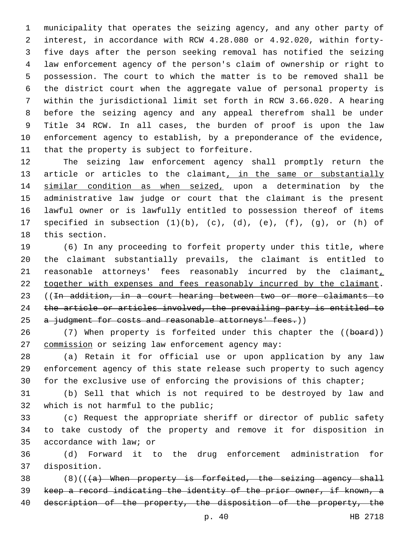municipality that operates the seizing agency, and any other party of interest, in accordance with RCW 4.28.080 or 4.92.020, within forty- five days after the person seeking removal has notified the seizing law enforcement agency of the person's claim of ownership or right to possession. The court to which the matter is to be removed shall be the district court when the aggregate value of personal property is within the jurisdictional limit set forth in RCW 3.66.020. A hearing before the seizing agency and any appeal therefrom shall be under Title 34 RCW. In all cases, the burden of proof is upon the law enforcement agency to establish, by a preponderance of the evidence, 11 that the property is subject to forfeiture.

 The seizing law enforcement agency shall promptly return the 13 article or articles to the claimant, in the same or substantially similar condition as when seized, upon a determination by the administrative law judge or court that the claimant is the present lawful owner or is lawfully entitled to possession thereof of items specified in subsection (1)(b), (c), (d), (e), (f), (g), or (h) of 18 this section.

 (6) In any proceeding to forfeit property under this title, where the claimant substantially prevails, the claimant is entitled to reasonable attorneys' fees reasonably incurred by the claimant, 22 together with expenses and fees reasonably incurred by the claimant. ((In addition, in a court hearing between two or more claimants to the article or articles involved, the prevailing party is entitled to 25 a judgment for costs and reasonable attorneys' fees.))

26 (7) When property is forfeited under this chapter the ((board)) 27 commission or seizing law enforcement agency may:

 (a) Retain it for official use or upon application by any law enforcement agency of this state release such property to such agency for the exclusive use of enforcing the provisions of this chapter;

 (b) Sell that which is not required to be destroyed by law and 32 which is not harmful to the public;

 (c) Request the appropriate sheriff or director of public safety to take custody of the property and remove it for disposition in 35 accordance with law; or

 (d) Forward it to the drug enforcement administration for 37 disposition.

 $(8)((4)$  When property is forfeited, the seizing agency shall keep a record indicating the identity of the prior owner, if known, a 40 description of the property, the disposition of the property, the

p. 40 HB 2718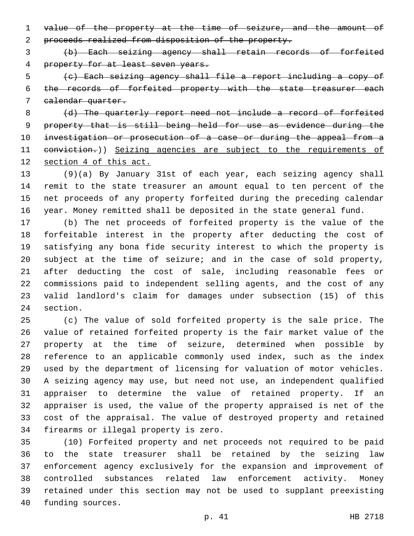value of the property at the time of seizure, and the amount of proceeds realized from disposition of the property.

 (b) Each seizing agency shall retain records of forfeited property for at least seven years.

 (c) Each seizing agency shall file a report including a copy of the records of forfeited property with the state treasurer each calendar quarter.

8 (d) The quarterly report need not include a record of forfeited property that is still being held for use as evidence during the investigation or prosecution of a case or during the appeal from a 11 eonviction.)) Seizing agencies are subject to the requirements of section 4 of this act.

 (9)(a) By January 31st of each year, each seizing agency shall remit to the state treasurer an amount equal to ten percent of the net proceeds of any property forfeited during the preceding calendar year. Money remitted shall be deposited in the state general fund.

 (b) The net proceeds of forfeited property is the value of the forfeitable interest in the property after deducting the cost of satisfying any bona fide security interest to which the property is subject at the time of seizure; and in the case of sold property, after deducting the cost of sale, including reasonable fees or commissions paid to independent selling agents, and the cost of any valid landlord's claim for damages under subsection (15) of this 24 section.

 (c) The value of sold forfeited property is the sale price. The value of retained forfeited property is the fair market value of the property at the time of seizure, determined when possible by reference to an applicable commonly used index, such as the index used by the department of licensing for valuation of motor vehicles. A seizing agency may use, but need not use, an independent qualified appraiser to determine the value of retained property. If an appraiser is used, the value of the property appraised is net of the cost of the appraisal. The value of destroyed property and retained 34 firearms or illegal property is zero.

 (10) Forfeited property and net proceeds not required to be paid to the state treasurer shall be retained by the seizing law enforcement agency exclusively for the expansion and improvement of controlled substances related law enforcement activity. Money retained under this section may not be used to supplant preexisting 40 funding sources.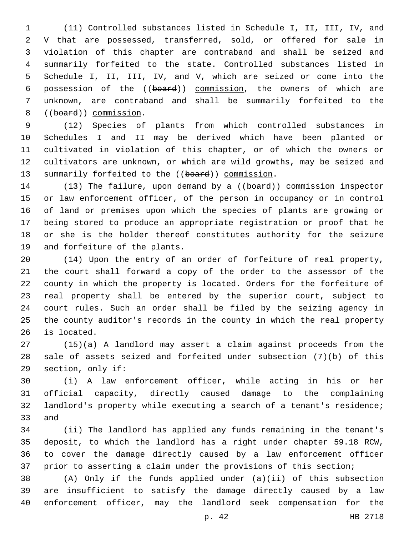(11) Controlled substances listed in Schedule I, II, III, IV, and V that are possessed, transferred, sold, or offered for sale in violation of this chapter are contraband and shall be seized and summarily forfeited to the state. Controlled substances listed in Schedule I, II, III, IV, and V, which are seized or come into the possession of the ((board)) commission, the owners of which are unknown, are contraband and shall be summarily forfeited to the 8 ((board)) commission.

 (12) Species of plants from which controlled substances in Schedules I and II may be derived which have been planted or cultivated in violation of this chapter, or of which the owners or cultivators are unknown, or which are wild growths, may be seized and 13 summarily forfeited to the ((board)) commission.

14 (13) The failure, upon demand by a ((board)) commission inspector or law enforcement officer, of the person in occupancy or in control of land or premises upon which the species of plants are growing or being stored to produce an appropriate registration or proof that he or she is the holder thereof constitutes authority for the seizure 19 and forfeiture of the plants.

 (14) Upon the entry of an order of forfeiture of real property, the court shall forward a copy of the order to the assessor of the county in which the property is located. Orders for the forfeiture of real property shall be entered by the superior court, subject to court rules. Such an order shall be filed by the seizing agency in the county auditor's records in the county in which the real property 26 is located.

 (15)(a) A landlord may assert a claim against proceeds from the sale of assets seized and forfeited under subsection (7)(b) of this 29 section, only if:

 (i) A law enforcement officer, while acting in his or her official capacity, directly caused damage to the complaining landlord's property while executing a search of a tenant's residence; 33 and

 (ii) The landlord has applied any funds remaining in the tenant's deposit, to which the landlord has a right under chapter 59.18 RCW, to cover the damage directly caused by a law enforcement officer prior to asserting a claim under the provisions of this section;

 (A) Only if the funds applied under (a)(ii) of this subsection are insufficient to satisfy the damage directly caused by a law enforcement officer, may the landlord seek compensation for the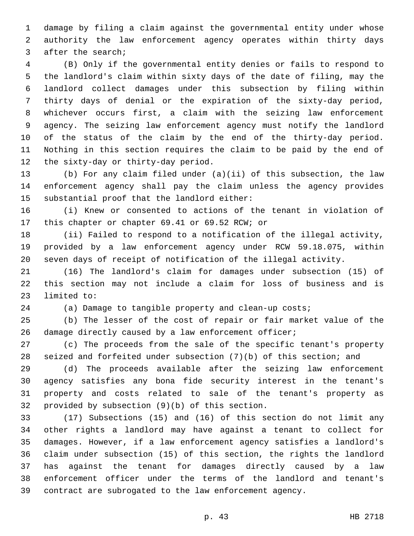damage by filing a claim against the governmental entity under whose authority the law enforcement agency operates within thirty days 3 after the search;

 (B) Only if the governmental entity denies or fails to respond to the landlord's claim within sixty days of the date of filing, may the landlord collect damages under this subsection by filing within thirty days of denial or the expiration of the sixty-day period, whichever occurs first, a claim with the seizing law enforcement agency. The seizing law enforcement agency must notify the landlord of the status of the claim by the end of the thirty-day period. Nothing in this section requires the claim to be paid by the end of 12 the sixty-day or thirty-day period.

 (b) For any claim filed under (a)(ii) of this subsection, the law enforcement agency shall pay the claim unless the agency provides 15 substantial proof that the landlord either:

 (i) Knew or consented to actions of the tenant in violation of 17 this chapter or chapter 69.41 or 69.52 RCW; or

 (ii) Failed to respond to a notification of the illegal activity, provided by a law enforcement agency under RCW 59.18.075, within seven days of receipt of notification of the illegal activity.

 (16) The landlord's claim for damages under subsection (15) of this section may not include a claim for loss of business and is 23 limited to:

(a) Damage to tangible property and clean-up costs;

 (b) The lesser of the cost of repair or fair market value of the 26 damage directly caused by a law enforcement officer;

 (c) The proceeds from the sale of the specific tenant's property seized and forfeited under subsection (7)(b) of this section; and

 (d) The proceeds available after the seizing law enforcement agency satisfies any bona fide security interest in the tenant's property and costs related to sale of the tenant's property as 32 provided by subsection  $(9)(b)$  of this section.

 (17) Subsections (15) and (16) of this section do not limit any other rights a landlord may have against a tenant to collect for damages. However, if a law enforcement agency satisfies a landlord's claim under subsection (15) of this section, the rights the landlord has against the tenant for damages directly caused by a law enforcement officer under the terms of the landlord and tenant's contract are subrogated to the law enforcement agency.